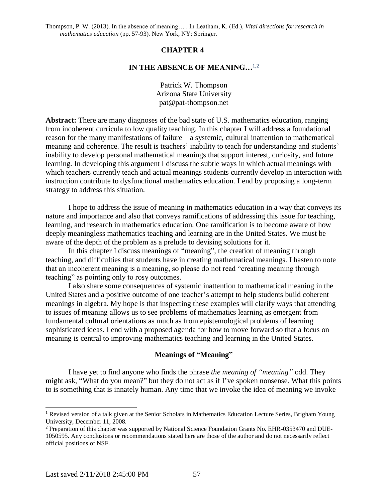Thompson, P. W. (2013). In the absence of meaning… . In Leatham, K. (Ed.), *Vital directions for research in mathematics education* (pp. 57-93)*.* New York, NY: Springer.

#### **CHAPTER 4**

#### **IN THE ABSENCE OF MEANING…**1,2

Patrick W. Thompson Arizona State University pat@pat-thompson.net

**Abstract:** There are many diagnoses of the bad state of U.S. mathematics education, ranging from incoherent curricula to low quality teaching. In this chapter I will address a foundational reason for the many manifestations of failure—a systemic, cultural inattention to mathematical meaning and coherence. The result is teachers' inability to teach for understanding and students' inability to develop personal mathematical meanings that support interest, curiosity, and future learning. In developing this argument I discuss the subtle ways in which actual meanings with which teachers currently teach and actual meanings students currently develop in interaction with instruction contribute to dysfunctional mathematics education. I end by proposing a long-term strategy to address this situation.

I hope to address the issue of meaning in mathematics education in a way that conveys its nature and importance and also that conveys ramifications of addressing this issue for teaching, learning, and research in mathematics education. One ramification is to become aware of how deeply meaningless mathematics teaching and learning are in the United States. We must be aware of the depth of the problem as a prelude to devising solutions for it.

In this chapter I discuss meanings of "meaning", the creation of meaning through teaching, and difficulties that students have in creating mathematical meanings. I hasten to note that an incoherent meaning is a meaning, so please do not read "creating meaning through teaching" as pointing only to rosy outcomes.

I also share some consequences of systemic inattention to mathematical meaning in the United States and a positive outcome of one teacher's attempt to help students build coherent meanings in algebra. My hope is that inspecting these examples will clarify ways that attending to issues of meaning allows us to see problems of mathematics learning as emergent from fundamental cultural orientations as much as from epistemological problems of learning sophisticated ideas. I end with a proposed agenda for how to move forward so that a focus on meaning is central to improving mathematics teaching and learning in the United States.

### **Meanings of "Meaning"**

I have yet to find anyone who finds the phrase *the meaning of "meaning"* odd. They might ask, "What do you mean?" but they do not act as if I've spoken nonsense. What this points to is something that is innately human. Any time that we invoke the idea of meaning we invoke

 $\overline{a}$ 

<sup>&</sup>lt;sup>1</sup> Revised version of a talk given at the Senior Scholars in Mathematics Education Lecture Series, Brigham Young University, December 11, 2008.

<sup>2</sup> Preparation of this chapter was supported by National Science Foundation Grants No. EHR-0353470 and DUE-

<sup>1050595.</sup> Any conclusions or recommendations stated here are those of the author and do not necessarily reflect official positions of NSF.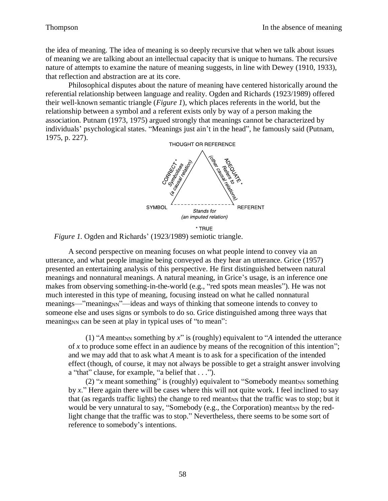the idea of meaning. The idea of meaning is so deeply recursive that when we talk about issues of meaning we are talking about an intellectual capacity that is unique to humans. The recursive nature of attempts to examine the nature of meaning suggests, in line with Dewey (1910, 1933), that reflection and abstraction are at its core.

Philosophical disputes about the nature of meaning have centered historically around the referential relationship between language and reality. Ogden and Richards (1923/1989) offered their well-known semantic triangle (*Figure 1*), which places referents in the world, but the relationship between a symbol and a referent exists only by way of a person making the association. Putnam (1973, 1975) argued strongly that meanings cannot be characterized by individuals' psychological states. "Meanings just ain't in the head", he famously said (Putnam, 1975, p. 227).



#### *Figure 1.* Ogden and Richards' (1923/1989) semiotic triangle.

A second perspective on meaning focuses on what people intend to convey via an utterance, and what people imagine being conveyed as they hear an utterance. Grice (1957) presented an entertaining analysis of this perspective. He first distinguished between natural meanings and nonnatural meanings. A natural meaning, in Grice's usage, is an inference one makes from observing something-in-the-world (e.g., "red spots mean measles"). He was not much interested in this type of meaning, focusing instead on what he called nonnatural meanings—"meaning<sub>NN</sub>"—ideas and ways of thinking that someone intends to convey to someone else and uses signs or symbols to do so. Grice distinguished among three ways that meaning<sub>NN</sub> can be seen at play in typical uses of "to mean":

(1) "A meant NN something by  $x$ " is (roughly) equivalent to "A intended the utterance of *x* to produce some effect in an audience by means of the recognition of this intention"; and we may add that to ask what *A* meant is to ask for a specification of the intended effect (though, of course, it may not always be possible to get a straight answer involving a "that" clause, for example, "a belief that . . .").

(2) " $x$  meant something" is (roughly) equivalent to "Somebody meant<sub>NN</sub> something by *x*." Here again there will be cases where this will not quite work. I feel inclined to say that (as regards traffic lights) the change to red meant<sub>NN</sub> that the traffic was to stop; but it would be very unnatural to say, "Somebody (e.g., the Corporation) meantNN by the redlight change that the traffic was to stop." Nevertheless, there seems to be some sort of reference to somebody's intentions.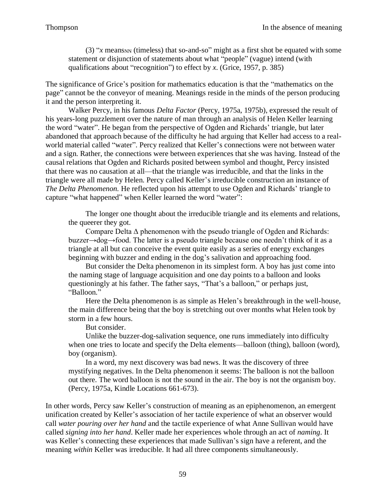$(3)$  "*x* means n (timeless) that so-and-so" might as a first shot be equated with some statement or disjunction of statements about what "people" (vague) intend (with qualifications about "recognition") to effect by *x*. (Grice, 1957, p. 385)

The significance of Grice's position for mathematics education is that the "mathematics on the page" cannot be the conveyor of meaning. Meanings reside in the minds of the person producing it and the person interpreting it.

Walker Percy, in his famous *Delta Factor* (Percy, 1975a, 1975b), expressed the result of his years-long puzzlement over the nature of man through an analysis of Helen Keller learning the word "water". He began from the perspective of Ogden and Richards' triangle, but later abandoned that approach because of the difficulty he had arguing that Keller had access to a realworld material called "water". Percy realized that Keller's connections were not between water and a sign. Rather, the connections were between experiences that she was having. Instead of the causal relations that Ogden and Richards posited between symbol and thought, Percy insisted that there was no causation at all—that the triangle was irreducible, and that the links in the triangle were all made by Helen. Percy called Keller's irreducible construction an instance of *The Delta Phenomenon.* He reflected upon his attempt to use Ogden and Richards' triangle to capture "what happened" when Keller learned the word "water":

The longer one thought about the irreducible triangle and its elements and relations, the queerer they got.

Compare Delta  $\Delta$  phenomenon with the pseudo triangle of Ogden and Richards: buzzer→dog→food. The latter is a pseudo triangle because one needn't think of it as a triangle at all but can conceive the event quite easily as a series of energy exchanges beginning with buzzer and ending in the dog's salivation and approaching food.

But consider the Delta phenomenon in its simplest form. A boy has just come into the naming stage of language acquisition and one day points to a balloon and looks questioningly at his father. The father says, "That's a balloon," or perhaps just, "Balloon."

Here the Delta phenomenon is as simple as Helen's breakthrough in the well-house, the main difference being that the boy is stretching out over months what Helen took by storm in a few hours.

But consider.

Unlike the buzzer-dog-salivation sequence, one runs immediately into difficulty when one tries to locate and specify the Delta elements—balloon (thing), balloon (word), boy (organism).

In a word, my next discovery was bad news. It was the discovery of three mystifying negatives. In the Delta phenomenon it seems: The balloon is not the balloon out there. The word balloon is not the sound in the air. The boy is not the organism boy. (Percy, 1975a, Kindle Locations 661-673).

In other words, Percy saw Keller's construction of meaning as an epiphenomenon, an emergent unification created by Keller's association of her tactile experience of what an observer would call *water pouring over her hand* and the tactile experience of what Anne Sullivan would have called *signing into her hand*. Keller made her experiences whole through an act of *naming*. It was Keller's connecting these experiences that made Sullivan's sign have a referent, and the meaning *within* Keller was irreducible. It had all three components simultaneously.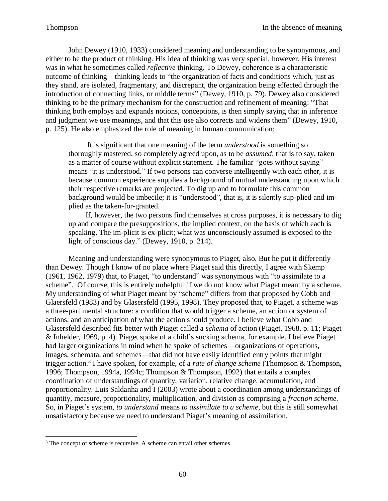John Dewey (1910, 1933) considered meaning and understanding to be synonymous, and either to be the product of thinking. His idea of thinking was very special, however. His interest was in what he sometimes called *reflective* thinking. To Dewey, coherence is a characteristic outcome of thinking – thinking leads to "the organization of facts and conditions which, just as they stand, are isolated, fragmentary, and discrepant, the organization being effected through the introduction of connecting links, or middle terms" (Dewey, 1910, p. 79). Dewey also considered thinking to be the primary mechanism for the construction and refinement of meaning: "That thinking both employs and expands notions, conceptions, is then simply saying that in inference and judgment we use meanings, and that this use also corrects and widens them" (Dewey, 1910, p. 125). He also emphasized the role of meaning in human communication:

It is significant that one meaning of the term *understood* is something so thoroughly mastered, so completely agreed upon, as to be *assumed*; that is to say, taken as a matter of course without explicit statement. The familiar "goes without saying" means "it is understood." If two persons can converse intelligently with each other, it is because common experience supplies a background of mutual understanding upon which their respective remarks are projected. To dig up and to formulate this common background would be imbecile; it is "understood", that is, it is silently sup-plied and implied as the taken-for-granted.

If, however, the two persons find themselves at cross purposes, it is necessary to dig up and compare the presuppositions, the implied context, on the basis of which each is speaking. The im-plicit is ex-plicit; what was unconsciously assumed is exposed to the light of conscious day." (Dewey, 1910, p. 214).

Meaning and understanding were synonymous to Piaget, also. But he put it differently than Dewey. Though I know of no place where Piaget said this directly, I agree with Skemp (1961, 1962, 1979) that, to Piaget, "to understand" was synonymous with "to assimilate to a scheme". Of course, this is entirely unhelpful if we do not know what Piaget meant by a scheme. My understanding of what Piaget meant by "scheme" differs from that proposed by Cobb and Glaersfeld (1983) and by Glasersfeld (1995, 1998). They proposed that, to Piaget, a scheme was a three-part mental structure: a condition that would trigger a scheme, an action or system of actions, and an anticipation of what the action should produce. I believe what Cobb and Glasersfeld described fits better with Piaget called a *schema* of action (Piaget, 1968, p. 11; Piaget & Inhelder, 1969, p. 4). Piaget spoke of a child's sucking schema, for example. I believe Piaget had larger organizations in mind when he spoke of schemes—organizations of operations, images, schemata, and schemes—that did not have easily identified entry points that might trigger action.<sup>3</sup> I have spoken, for example, of a *rate of change scheme* (Thompson & Thompson, 1996; Thompson, 1994a, 1994c; Thompson & Thompson, 1992) that entails a complex coordination of understandings of quantity, variation, relative change, accumulation, and proportionality. Luis Saldanha and I (2003) wrote about a coordination among understandings of quantity, measure, proportionality, multiplication, and division as comprising a *fraction scheme.* So, in Piaget's system, *to understand* means *to assimilate to a scheme*, but this is still somewhat unsatisfactory because we need to understand Piaget's meaning of assimilation.

 $\overline{a}$ 

 $3$  The concept of scheme is recursive. A scheme can entail other schemes.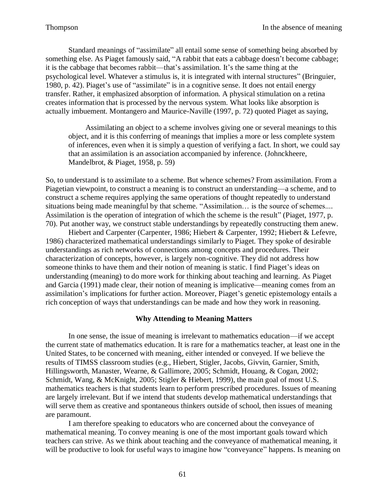Standard meanings of "assimilate" all entail some sense of something being absorbed by something else. As Piaget famously said, "A rabbit that eats a cabbage doesn't become cabbage; it is the cabbage that becomes rabbit—that's assimilation. It's the same thing at the psychological level. Whatever a stimulus is, it is integrated with internal structures" (Bringuier, 1980, p. 42). Piaget's use of "assimilate" is in a cognitive sense. It does not entail energy transfer. Rather, it emphasized absorption of information. A physical stimulation on a retina creates information that is processed by the nervous system. What looks like absorption is actually imbuement. Montangero and Maurice-Naville (1997, p. 72) quoted Piaget as saying,

Assimilating an object to a scheme involves giving one or several meanings to this object, and it is this conferring of meanings that implies a more or less complete system of inferences, even when it is simply a question of verifying a fact. In short, we could say that an assimilation is an association accompanied by inference. (Johnckheere, Mandelbrot, & Piaget, 1958, p. 59)

So, to understand is to assimilate to a scheme. But whence schemes? From assimilation. From a Piagetian viewpoint, to construct a meaning is to construct an understanding—a scheme, and to construct a scheme requires applying the same operations of thought repeatedly to understand situations being made meaningful by that scheme. "Assimilation… is the source of schemes.... Assimilation is the operation of integration of which the scheme is the result" (Piaget, 1977, p. 70). Put another way, we construct stable understandings by repeatedly constructing them anew.

Hiebert and Carpenter (Carpenter, 1986; Hiebert & Carpenter, 1992; Hiebert & Lefevre, 1986) characterized mathematical understandings similarly to Piaget. They spoke of desirable understandings as rich networks of connections among concepts and procedures. Their characterization of concepts, however, is largely non-cognitive. They did not address how someone thinks to have them and their notion of meaning is static. I find Piaget's ideas on understanding (meaning) to do more work for thinking about teaching and learning. As Piaget and Garcia (1991) made clear, their notion of meaning is implicative—meaning comes from an assimilation's implications for further action. Moreover, Piaget's genetic epistemology entails a rich conception of ways that understandings can be made and how they work in reasoning.

#### **Why Attending to Meaning Matters**

In one sense, the issue of meaning is irrelevant to mathematics education—if we accept the current state of mathematics education. It is rare for a mathematics teacher, at least one in the United States, to be concerned with meaning, either intended or conveyed. If we believe the results of TIMSS classroom studies (e.g., Hiebert, Stigler, Jacobs, Givvin, Garnier, Smith, Hillingsworth, Manaster, Wearne, & Gallimore, 2005; Schmidt, Houang, & Cogan, 2002; Schmidt, Wang, & McKnight, 2005; Stigler & Hiebert, 1999), the main goal of most U.S. mathematics teachers is that students learn to perform prescribed procedures. Issues of meaning are largely irrelevant. But if we intend that students develop mathematical understandings that will serve them as creative and spontaneous thinkers outside of school, then issues of meaning are paramount.

I am therefore speaking to educators who are concerned about the conveyance of mathematical meaning. To convey meaning is one of the most important goals toward which teachers can strive. As we think about teaching and the conveyance of mathematical meaning, it will be productive to look for useful ways to imagine how "conveyance" happens. Is meaning on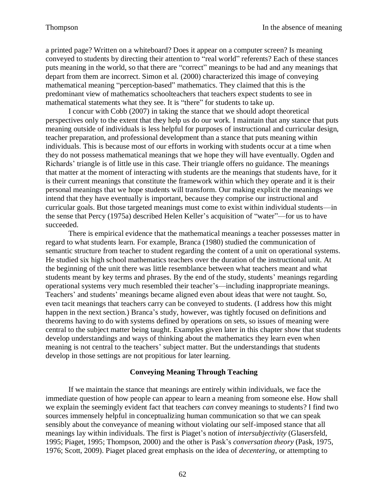a printed page? Written on a whiteboard? Does it appear on a computer screen? Is meaning conveyed to students by directing their attention to "real world" referents? Each of these stances puts meaning in the world, so that there are "correct" meanings to be had and any meanings that depart from them are incorrect. Simon et al. (2000) characterized this image of conveying mathematical meaning "perception-based" mathematics. They claimed that this is the predominant view of mathematics schoolteachers that teachers expect students to see in mathematical statements what they see. It is "there" for students to take up.

I concur with Cobb (2007) in taking the stance that we should adopt theoretical perspectives only to the extent that they help us do our work. I maintain that any stance that puts meaning outside of individuals is less helpful for purposes of instructional and curricular design, teacher preparation, and professional development than a stance that puts meaning within individuals. This is because most of our efforts in working with students occur at a time when they do not possess mathematical meanings that we hope they will have eventually. Ogden and Richards' triangle is of little use in this case. Their triangle offers no guidance. The meanings that matter at the moment of interacting with students are the meanings that students have, for it is their current meanings that constitute the framework within which they operate and it is their personal meanings that we hope students will transform. Our making explicit the meanings we intend that they have eventually is important, because they comprise our instructional and curricular goals. But those targeted meanings must come to exist within individual students—in the sense that Percy (1975a) described Helen Keller's acquisition of "water"—for us to have succeeded.

There is empirical evidence that the mathematical meanings a teacher possesses matter in regard to what students learn. For example, Branca (1980) studied the communication of semantic structure from teacher to student regarding the content of a unit on operational systems. He studied six high school mathematics teachers over the duration of the instructional unit. At the beginning of the unit there was little resemblance between what teachers meant and what students meant by key terms and phrases. By the end of the study, students' meanings regarding operational systems very much resembled their teacher's—including inappropriate meanings. Teachers' and students' meanings became aligned even about ideas that were not taught. So, even tacit meanings that teachers carry can be conveyed to students. (I address how this might happen in the next section.) Branca's study, however, was tightly focused on definitions and theorems having to do with systems defined by operations on sets, so issues of meaning were central to the subject matter being taught. Examples given later in this chapter show that students develop understandings and ways of thinking about the mathematics they learn even when meaning is not central to the teachers' subject matter. But the understandings that students develop in those settings are not propitious for later learning.

# **Conveying Meaning Through Teaching**

If we maintain the stance that meanings are entirely within individuals, we face the immediate question of how people can appear to learn a meaning from someone else. How shall we explain the seemingly evident fact that teachers *can* convey meanings to students? I find two sources immensely helpful in conceptualizing human communication so that we can speak sensibly about the conveyance of meaning without violating our self-imposed stance that all meanings lay within individuals. The first is Piaget's notion of *intersubjectivity* (Glasersfeld, 1995; Piaget, 1995; Thompson, 2000) and the other is Pask's *conversation theory* (Pask, 1975, 1976; Scott, 2009). Piaget placed great emphasis on the idea of *decentering*, or attempting to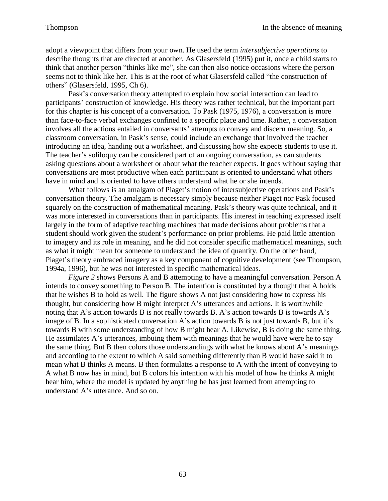adopt a viewpoint that differs from your own. He used the term *intersubjective operations* to describe thoughts that are directed at another. As Glasersfeld (1995) put it, once a child starts to think that another person "thinks like me", she can then also notice occasions where the person seems not to think like her. This is at the root of what Glasersfeld called "the construction of others" (Glasersfeld, 1995, Ch 6).

Pask's conversation theory attempted to explain how social interaction can lead to participants' construction of knowledge. His theory was rather technical, but the important part for this chapter is his concept of a conversation. To Pask (1975, 1976), a conversation is more than face-to-face verbal exchanges confined to a specific place and time. Rather, a conversation involves all the actions entailed in conversants' attempts to convey and discern meaning. So, a classroom conversation, in Pask's sense, could include an exchange that involved the teacher introducing an idea, handing out a worksheet, and discussing how she expects students to use it. The teacher's soliloquy can be considered part of an ongoing conversation, as can students asking questions about a worksheet or about what the teacher expects. It goes without saying that conversations are most productive when each participant is oriented to understand what others have in mind and is oriented to have others understand what he or she intends.

What follows is an amalgam of Piaget's notion of intersubjective operations and Pask's conversation theory. The amalgam is necessary simply because neither Piaget nor Pask focused squarely on the construction of mathematical meaning. Pask's theory was quite technical, and it was more interested in conversations than in participants. His interest in teaching expressed itself largely in the form of adaptive teaching machines that made decisions about problems that a student should work given the student's performance on prior problems. He paid little attention to imagery and its role in meaning, and he did not consider specific mathematical meanings, such as what it might mean for someone to understand the idea of quantity. On the other hand, Piaget's theory embraced imagery as a key component of cognitive development (see Thompson, 1994a, 1996), but he was not interested in specific mathematical ideas.

*Figure 2* shows Persons A and B attempting to have a meaningful conversation. Person A intends to convey something to Person B. The intention is constituted by a thought that A holds that he wishes B to hold as well. The figure shows A not just considering how to express his thought, but considering how B might interpret A's utterances and actions. It is worthwhile noting that A's action towards B is not really towards B. A's action towards B is towards A's image of B. In a sophisticated conversation A's action towards B is not just towards B, but it's towards B with some understanding of how B might hear A. Likewise, B is doing the same thing. He assimilates A's utterances, imbuing them with meanings that he would have were he to say the same thing. But B then colors those understandings with what he knows about A's meanings and according to the extent to which A said something differently than B would have said it to mean what B thinks A means. B then formulates a response to A with the intent of conveying to A what B now has in mind, but B colors his intention with his model of how he thinks A might hear him, where the model is updated by anything he has just learned from attempting to understand A's utterance. And so on.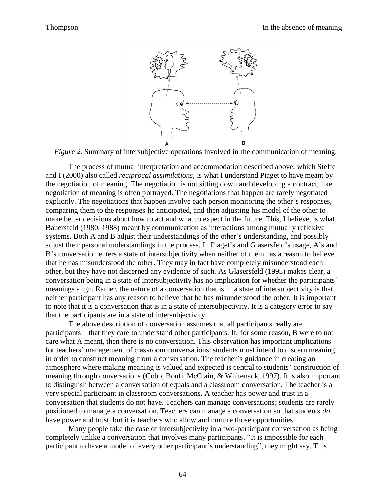

*Figure 2*. Summary of intersubjective operations involved in the communication of meaning.

The process of mutual interpretation and accommodation described above, which Steffe and I (2000) also called *reciprocal assimilations*, is what I understand Piaget to have meant by the negotiation of meaning. The negotiation is not sitting down and developing a contract, like negotiation of meaning is often portrayed. The negotiations that happen are rarely negotiated explicitly. The negotiations that happen involve each person monitoring the other's responses, comparing them to the responses he anticipated, and then adjusting his model of the other to make better decisions about how to act and what to expect in the future. This, I believe, is what Bauersfeld (1980, 1988) meant by communication as interactions among mutually reflexive systems. Both A and B adjust their understandings of the other's understanding, and possibly adjust their personal understandings in the process. In Piaget's and Glasersfeld's usage, A's and B's conversation enters a state of intersubjectivity when neither of them has a reason to believe that he has misunderstood the other. They may in fact have completely misunderstood each other, but they have not discerned any evidence of such. As Glasersfeld (1995) makes clear, a conversation being in a state of intersubjectivity has no implication for whether the participants' meanings align. Rather, the nature of a conversation that is in a state of intersubjectivity is that neither participant has any reason to believe that he has misunderstood the other. It is important to note that it is a conversation that is in a state of intersubjectivity. It is a category error to say that the participants are in a state of intersubjectivity.

The above description of conversation assumes that all participants really are participants—that they care to understand other participants. If, for some reason, B were to not care what A meant, then there is no conversation. This observation has important implications for teachers' management of classroom conversations: students must intend to discern meaning in order to construct meaning from a conversation. The teacher's guidance in creating an atmosphere where making meaning is valued and expected is central to students' construction of meaning through conversations (Cobb, Boufi, McClain, & Whitenack, 1997). It is also important to distinguish between a conversation of equals and a classroom conversation. The teacher is a very special participant in classroom conversations. A teacher has power and trust in a conversation that students do not have. Teachers can manage conversations; students are rarely positioned to manage a conversation. Teachers can manage a conversation so that students *do* have power and trust, but it is teachers who allow and nurture those opportunities.

Many people take the case of intersubjectivity in a two-participant conversation as being completely unlike a conversation that involves many participants. "It is impossible for each participant to have a model of every other participant's understanding", they might say. This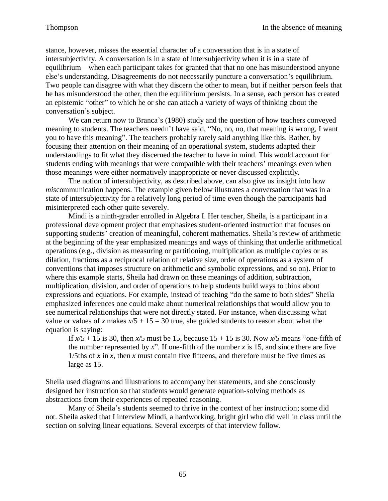stance, however, misses the essential character of a conversation that is in a state of intersubjectivity. A conversation is in a state of intersubjectivity when it is in a state of equilibrium—when each participant takes for granted that that no one has misunderstood anyone else's understanding. Disagreements do not necessarily puncture a conversation's equilibrium. Two people can disagree with what they discern the other to mean, but if neither person feels that he has misunderstood the other, then the equilibrium persists. In a sense, each person has created an epistemic "other" to which he or she can attach a variety of ways of thinking about the conversation's subject.

We can return now to Branca's (1980) study and the question of how teachers conveyed meaning to students. The teachers needn't have said, "No, no, no, that meaning is wrong, I want you to have this meaning". The teachers probably rarely said anything like this. Rather, by focusing their attention on their meaning of an operational system, students adapted their understandings to fit what they discerned the teacher to have in mind. This would account for students ending with meanings that were compatible with their teachers' meanings even when those meanings were either normatively inappropriate or never discussed explicitly.

The notion of intersubjectivity, as described above, can also give us insight into how *mis*communication happens. The example given below illustrates a conversation that was in a state of intersubjectivity for a relatively long period of time even though the participants had misinterpreted each other quite severely.

Mindi is a ninth-grader enrolled in Algebra I. Her teacher, Sheila, is a participant in a professional development project that emphasizes student-oriented instruction that focuses on supporting students' creation of meaningful, coherent mathematics. Sheila's review of arithmetic at the beginning of the year emphasized meanings and ways of thinking that underlie arithmetical operations (e.g., division as measuring or partitioning, multiplication as multiple copies or as dilation, fractions as a reciprocal relation of relative size, order of operations as a system of conventions that imposes structure on arithmetic and symbolic expressions, and so on). Prior to where this example starts, Sheila had drawn on these meanings of addition, subtraction, multiplication, division, and order of operations to help students build ways to think about expressions and equations. For example, instead of teaching "do the same to both sides" Sheila emphasized inferences one could make about numerical relationships that would allow you to see numerical relationships that were not directly stated. For instance, when discussing what value or values of *x* makes  $x/5 + 15 = 30$  true, she guided students to reason about what the equation is saying:

If  $x/5$  + 15 is 30, then  $x/5$  must be 15, because  $15 + 15$  is 30. Now  $x/5$  means "one-fifth of the number represented by  $x$ <sup>"</sup>. If one-fifth of the number  $x$  is 15, and since there are five 1/5ths of  $x$  in  $x$ , then  $x$  must contain five fifteens, and therefore must be five times as large as 15.

Sheila used diagrams and illustrations to accompany her statements, and she consciously designed her instruction so that students would generate equation-solving methods as abstractions from their experiences of repeated reasoning.

Many of Sheila's students seemed to thrive in the context of her instruction; some did not. Sheila asked that I interview Mindi, a hardworking, bright girl who did well in class until the section on solving linear equations. Several excerpts of that interview follow.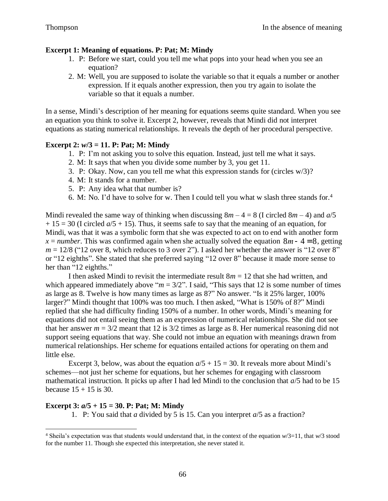### **Excerpt 1: Meaning of equations. P: Pat; M: Mindy**

- 1. P: Before we start, could you tell me what pops into your head when you see an equation?
- 2. M: Well, you are supposed to isolate the variable so that it equals a number or another expression. If it equals another expression, then you try again to isolate the variable so that it equals a number.

In a sense, Mindi's description of her meaning for equations seems quite standard. When you see an equation you think to solve it. Excerpt 2, however, reveals that Mindi did not interpret equations as stating numerical relationships. It reveals the depth of her procedural perspective.

### **Excerpt 2:** *w***/3 = 11. P: Pat; M: Mindy**

- 1. P: I'm not asking you to solve this equation. Instead, just tell me what it says.
- 2. M: It says that when you divide some number by 3, you get 11.
- 3. P: Okay. Now, can you tell me what this expression stands for (circles w/3)?
- 4. M: It stands for a number.
- 5. P: Any idea what that number is?
- 6. M: No. I'd have to solve for w. Then I could tell you what w slash three stands for.<sup>4</sup>

Mindi revealed the same way of thinking when discussing  $8m - 4 = 8$  (I circled  $8m - 4$ ) and  $a/5$  $+ 15 = 30$  (I circled  $a/5 + 15$ ). Thus, it seems safe to say that the meaning of an equation, for Mindi, was that it was a symbolic form that she was expected to act on to end with another form  $x = number$ . This was confirmed again when she actually solved the equation  $8m - 4 = 8$ , getting  $m = 12/8$  ("12 over 8, which reduces to 3 over 2"). I asked her whether the answer is "12 over 8" or "12 eighths". She stated that she preferred saying "12 over 8" because it made more sense to her than "12 eighths."

I then asked Mindi to revisit the intermediate result 8*m* = 12 that she had written, and which appeared immediately above " $m = 3/2$ ". I said, "This says that 12 is some number of times" as large as 8. Twelve is how many times as large as 8?" No answer. "Is it 25% larger, 100% larger?" Mindi thought that 100% was too much. I then asked, "What is 150% of 8?" Mindi replied that she had difficulty finding 150% of a number. In other words, Mindi's meaning for equations did not entail seeing them as an expression of numerical relationships. She did not see that her answer *m* = 3/2 meant that 12 is 3/2 times as large as 8. Her numerical reasoning did not support seeing equations that way. She could not imbue an equation with meanings drawn from numerical relationships. Her scheme for equations entailed actions for operating on them and little else.

Excerpt 3, below, was about the equation  $a/5 + 15 = 30$ . It reveals more about Mindi's schemes—not just her scheme for equations, but her schemes for engaging with classroom mathematical instruction. It picks up after I had led Mindi to the conclusion that *a*/5 had to be 15 because  $15 + 15$  is 30.

# **Excerpt 3:** *a***/5 + 15 = 30. P: Pat; M: Mindy**

 $\overline{a}$ 

1. P: You said that *a* divided by 5 is 15. Can you interpret *a*/5 as a fraction?

<sup>4</sup> Sheila's expectation was that students would understand that, in the context of the equation *w*/3=11, that *w*/3 stood for the number 11. Though she expected this interpretation, she never stated it.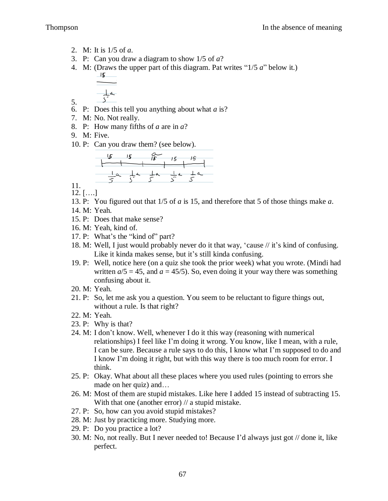- 2. M: It is 1/5 of *a*.
- 3. P: Can you draw a diagram to show 1/5 of *a*?
- 4. M: (Draws the upper part of this diagram. Pat writes "1/5 *a*" below it.)  $\overline{\phantom{a}}$



- 5. 6. P: Does this tell you anything about what *a* is?
- 7. M: No. Not really.
- 8. P: How many fifths of *a* are in *a*?
- 9. M: Five.
- 10. P: Can you draw them? (see below).



11. 12. [….]

- 13. P: You figured out that 1/5 of *a* is 15, and therefore that 5 of those things make *a*.
- 14. M: Yeah.
- 15. P: Does that make sense?
- 16. M: Yeah, kind of.
- 17. P: What's the "kind of" part?
- 18. M: Well, I just would probably never do it that way, 'cause // it's kind of confusing. Like it kinda makes sense, but it's still kinda confusing.
- 19. P: Well, notice here (on a quiz she took the prior week) what you wrote. (Mindi had written  $a/5 = 45$ , and  $a = 45/5$ ). So, even doing it your way there was something confusing about it.
- 20. M: Yeah.
- 21. P: So, let me ask you a question. You seem to be reluctant to figure things out, without a rule. Is that right?
- 22. M: Yeah.
- 23. P: Why is that?
- 24. M: I don't know. Well, whenever I do it this way (reasoning with numerical relationships) I feel like I'm doing it wrong. You know, like I mean, with a rule, I can be sure. Because a rule says to do this, I know what I'm supposed to do and I know I'm doing it right, but with this way there is too much room for error. I think.
- 25. P: Okay. What about all these places where you used rules (pointing to errors she made on her quiz) and…
- 26. M: Most of them are stupid mistakes. Like here I added 15 instead of subtracting 15. With that one (another error) // a stupid mistake.
- 27. P: So, how can you avoid stupid mistakes?
- 28. M: Just by practicing more. Studying more.
- 29. P: Do you practice a lot?
- 30. M: No, not really. But I never needed to! Because I'd always just got // done it, like perfect.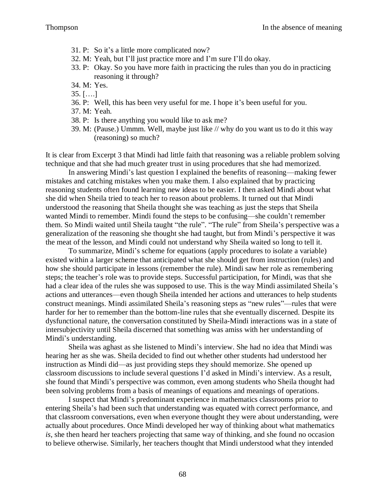- 31. P: So it's a little more complicated now?
- 32. M: Yeah, but I'll just practice more and I'm sure I'll do okay.
- 33. P: Okay. So you have more faith in practicing the rules than you do in practicing reasoning it through?
- 34. M: Yes.
- 35. [….]
- 36. P: Well, this has been very useful for me. I hope it's been useful for you.
- 37. M: Yeah.
- 38. P: Is there anything you would like to ask me?
- 39. M: (Pause.) Ummm. Well, maybe just like // why do you want us to do it this way (reasoning) so much?

It is clear from Excerpt 3 that Mindi had little faith that reasoning was a reliable problem solving technique and that she had much greater trust in using procedures that she had memorized.

In answering Mindi's last question I explained the benefits of reasoning—making fewer mistakes and catching mistakes when you make them. I also explained that by practicing reasoning students often found learning new ideas to be easier. I then asked Mindi about what she did when Sheila tried to teach her to reason about problems. It turned out that Mindi understood the reasoning that Sheila thought she was teaching as just the steps that Sheila wanted Mindi to remember. Mindi found the steps to be confusing—she couldn't remember them. So Mindi waited until Sheila taught "the rule". "The rule" from Sheila's perspective was a generalization of the reasoning she thought she had taught, but from Mindi's perspective it was the meat of the lesson, and Mindi could not understand why Sheila waited so long to tell it.

To summarize, Mindi's scheme for equations (apply procedures to isolate a variable) existed within a larger scheme that anticipated what she should get from instruction (rules) and how she should participate in lessons (remember the rule). Mindi saw her role as remembering steps; the teacher's role was to provide steps. Successful participation, for Mindi, was that she had a clear idea of the rules she was supposed to use. This is the way Mindi assimilated Sheila's actions and utterances—even though Sheila intended her actions and utterances to help students construct meanings. Mindi assimilated Sheila's reasoning steps as "new rules"—rules that were harder for her to remember than the bottom-line rules that she eventually discerned. Despite its dysfunctional nature, the conversation constituted by Sheila-Mindi interactions was in a state of intersubjectivity until Sheila discerned that something was amiss with her understanding of Mindi's understanding.

Sheila was aghast as she listened to Mindi's interview. She had no idea that Mindi was hearing her as she was. Sheila decided to find out whether other students had understood her instruction as Mindi did—as just providing steps they should memorize. She opened up classroom discussions to include several questions I'd asked in Mindi's interview. As a result, she found that Mindi's perspective was common, even among students who Sheila thought had been solving problems from a basis of meanings of equations and meanings of operations.

I suspect that Mindi's predominant experience in mathematics classrooms prior to entering Sheila's had been such that understanding was equated with correct performance, and that classroom conversations, even when everyone thought they were about understanding, were actually about procedures. Once Mindi developed her way of thinking about what mathematics *is*, she then heard her teachers projecting that same way of thinking, and she found no occasion to believe otherwise. Similarly, her teachers thought that Mindi understood what they intended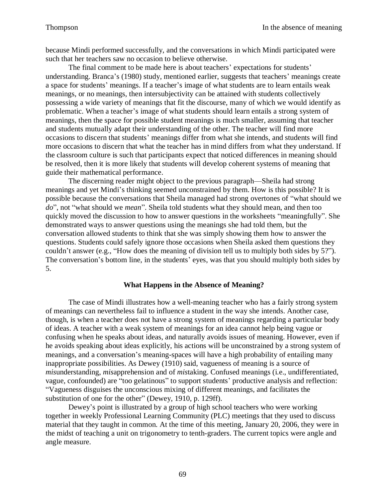because Mindi performed successfully, and the conversations in which Mindi participated were such that her teachers saw no occasion to believe otherwise.

The final comment to be made here is about teachers' expectations for students' understanding. Branca's (1980) study, mentioned earlier, suggests that teachers' meanings create a space for students' meanings. If a teacher's image of what students are to learn entails weak meanings, or no meanings, then intersubjectivity can be attained with students collectively possessing a wide variety of meanings that fit the discourse, many of which we would identify as problematic. When a teacher's image of what students should learn entails a strong system of meanings, then the space for possible student meanings is much smaller, assuming that teacher and students mutually adapt their understanding of the other. The teacher will find more occasions to discern that students' meanings differ from what she intends, and students will find more occasions to discern that what the teacher has in mind differs from what they understand. If the classroom culture is such that participants expect that noticed differences in meaning should be resolved, then it is more likely that students will develop coherent systems of meaning that guide their mathematical performance.

The discerning reader might object to the previous paragraph—Sheila had strong meanings and yet Mindi's thinking seemed unconstrained by them. How is this possible? It is possible because the conversations that Sheila managed had strong overtones of "what should we *do*", not "what should we *mean*". Sheila told students what they should mean, and then too quickly moved the discussion to how to answer questions in the worksheets "meaningfully". She demonstrated ways to answer questions using the meanings she had told them, but the conversation allowed students to think that she was simply showing them how to answer the questions. Students could safely ignore those occasions when Sheila asked them questions they couldn't answer (e.g., "How does the meaning of division tell us to multiply both sides by 5?"). The conversation's bottom line, in the students' eyes, was that you should multiply both sides by 5.

#### **What Happens in the Absence of Meaning?**

The case of Mindi illustrates how a well-meaning teacher who has a fairly strong system of meanings can nevertheless fail to influence a student in the way she intends. Another case, though, is when a teacher does not have a strong system of meanings regarding a particular body of ideas. A teacher with a weak system of meanings for an idea cannot help being vague or confusing when he speaks about ideas, and naturally avoids issues of meaning. However, even if he avoids speaking about ideas explicitly, his actions will be unconstrained by a strong system of meanings, and a conversation's meaning-spaces will have a high probability of entailing many inappropriate possibilities. As Dewey (1910) said, vagueness of meaning is a source of *mis*understanding, *mis*apprehension and of *mis*taking. Confused meanings (i.e., undifferentiated, vague, confounded) are "too gelatinous" to support students' productive analysis and reflection: "Vagueness disguises the unconscious mixing of different meanings, and facilitates the substitution of one for the other" (Dewey, 1910, p. 129ff).

Dewey's point is illustrated by a group of high school teachers who were working together in weekly Professional Learning Community (PLC) meetings that they used to discuss material that they taught in common. At the time of this meeting, January 20, 2006, they were in the midst of teaching a unit on trigonometry to tenth-graders. The current topics were angle and angle measure.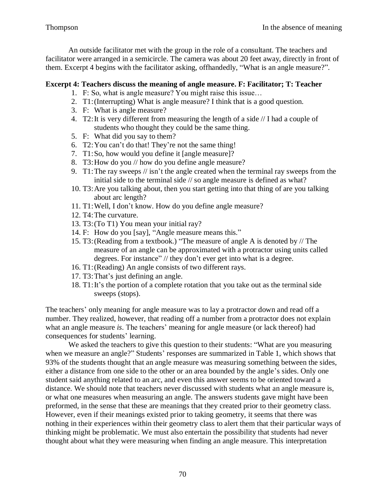An outside facilitator met with the group in the role of a consultant. The teachers and facilitator were arranged in a semicircle. The camera was about 20 feet away, directly in front of them. Excerpt 4 begins with the facilitator asking, offhandedly, "What is an angle measure?".

# **Excerpt 4: Teachers discuss the meaning of angle measure. F: Facilitator; T: Teacher**

- 1. F: So, what is angle measure? You might raise this issue…
- 2. T1:(Interrupting) What is angle measure? I think that is a good question.
- 3. F: What is angle measure?
- 4. T2:It is very different from measuring the length of a side // I had a couple of students who thought they could be the same thing.
- 5. F: What did you say to them?
- 6. T2:You can't do that! They're not the same thing!
- 7. T1:So, how would you define it [angle measure]?
- 8. T3:How do you // how do you define angle measure?
- 9. T1:The ray sweeps // isn't the angle created when the terminal ray sweeps from the initial side to the terminal side // so angle measure is defined as what?
- 10. T3:Are you talking about, then you start getting into that thing of are you talking about arc length?
- 11. T1:Well, I don't know. How do you define angle measure?
- 12. T4:The curvature.
- 13. T3:(To T1) You mean your initial ray?
- 14. F: How do you [say], "Angle measure means this."
- 15. T3:(Reading from a textbook.) "The measure of angle A is denoted by // The measure of an angle can be approximated with a protractor using units called degrees. For instance" // they don't ever get into what is a degree.
- 16. T1:(Reading) An angle consists of two different rays.
- 17. T3:That's just defining an angle.
- 18. T1:It's the portion of a complete rotation that you take out as the terminal side sweeps (stops).

The teachers' only meaning for angle measure was to lay a protractor down and read off a number. They realized, however, that reading off a number from a protractor does not explain what an angle measure *is*. The teachers' meaning for angle measure (or lack thereof) had consequences for students' learning.

We asked the teachers to give this question to their students: "What are you measuring when we measure an angle?" Students' responses are summarized in Table 1, which shows that 93% of the students thought that an angle measure was measuring something between the sides, either a distance from one side to the other or an area bounded by the angle's sides. Only one student said anything related to an arc, and even this answer seems to be oriented toward a distance. We should note that teachers never discussed with students what an angle measure is, or what one measures when measuring an angle. The answers students gave might have been preformed, in the sense that these are meanings that they created prior to their geometry class. However, even if their meanings existed prior to taking geometry, it seems that there was nothing in their experiences within their geometry class to alert them that their particular ways of thinking might be problematic. We must also entertain the possibility that students had never thought about what they were measuring when finding an angle measure. This interpretation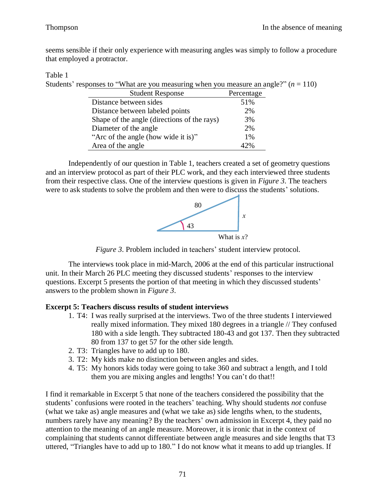seems sensible if their only experience with measuring angles was simply to follow a procedure that employed a protractor.

Table 1

Students' responses to "What are you measuring when you measure an angle?"  $(n = 110)$ 

| <b>Student Response</b>                     | Percentage |
|---------------------------------------------|------------|
| Distance between sides                      | 51%        |
| Distance between labeled points             | 2%         |
| Shape of the angle (directions of the rays) | 3%         |
| Diameter of the angle                       | 2%         |
| "Arc of the angle (how wide it is)"         | 1%         |
| Area of the angle                           | 42%        |

Independently of our question in Table 1, teachers created a set of geometry questions and an interview protocol as part of their PLC work, and they each interviewed three students from their respective class. One of the interview questions is given in *Figure 3*. The teachers were to ask students to solve the problem and then were to discuss the students' solutions.



*Figure 3*. Problem included in teachers' student interview protocol.

The interviews took place in mid-March, 2006 at the end of this particular instructional unit. In their March 26 PLC meeting they discussed students' responses to the interview questions. Excerpt 5 presents the portion of that meeting in which they discussed students' answers to the problem shown in *Figure 3*.

# **Excerpt 5: Teachers discuss results of student interviews**

- 1. T4: I was really surprised at the interviews. Two of the three students I interviewed really mixed information. They mixed 180 degrees in a triangle // They confused 180 with a side length. They subtracted 180-43 and got 137. Then they subtracted 80 from 137 to get 57 for the other side length.
- 2. T3: Triangles have to add up to 180.
- 3. T2: My kids make no distinction between angles and sides.
- 4. T5: My honors kids today were going to take 360 and subtract a length, and I told them you are mixing angles and lengths! You can't do that!!

I find it remarkable in Excerpt 5 that none of the teachers considered the possibility that the students' confusions were rooted in the teachers' teaching. Why should students *not* confuse (what we take as) angle measures and (what we take as) side lengths when, to the students, numbers rarely have any meaning? By the teachers' own admission in Excerpt 4, they paid no attention to the meaning of an angle measure. Moreover, it is ironic that in the context of complaining that students cannot differentiate between angle measures and side lengths that T3 uttered, "Triangles have to add up to 180." I do not know what it means to add up triangles. If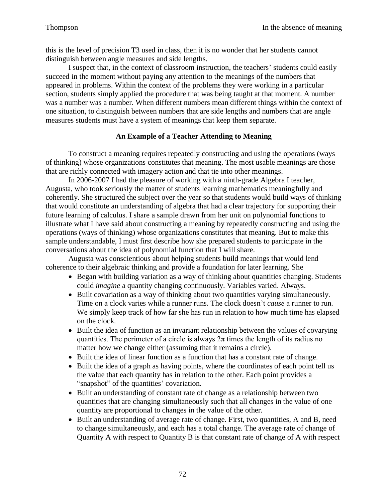this is the level of precision T3 used in class, then it is no wonder that her students cannot distinguish between angle measures and side lengths.

I suspect that, in the context of classroom instruction, the teachers' students could easily succeed in the moment without paying any attention to the meanings of the numbers that appeared in problems. Within the context of the problems they were working in a particular section, students simply applied the procedure that was being taught at that moment. A number was a number was a number. When different numbers mean different things within the context of one situation, to distinguish between numbers that are side lengths and numbers that are angle measures students must have a system of meanings that keep them separate.

### **An Example of a Teacher Attending to Meaning**

To construct a meaning requires repeatedly constructing and using the operations (ways of thinking) whose organizations constitutes that meaning. The most usable meanings are those that are richly connected with imagery action and that tie into other meanings.

In 2006-2007 I had the pleasure of working with a ninth-grade Algebra I teacher, Augusta, who took seriously the matter of students learning mathematics meaningfully and coherently. She structured the subject over the year so that students would build ways of thinking that would constitute an understanding of algebra that had a clear trajectory for supporting their future learning of calculus. I share a sample drawn from her unit on polynomial functions to illustrate what I have said about constructing a meaning by repeatedly constructing and using the operations (ways of thinking) whose organizations constitutes that meaning. But to make this sample understandable, I must first describe how she prepared students to participate in the conversations about the idea of polynomial function that I will share.

Augusta was conscientious about helping students build meanings that would lend coherence to their algebraic thinking and provide a foundation for later learning. She

- Began with building variation as a way of thinking about quantities changing. Students could *imagine* a quantity changing continuously. Variables varied. Always.
- Built covariation as a way of thinking about two quantities varying simultaneously. Time on a clock varies while a runner runs. The clock doesn't *cause* a runner to run. We simply keep track of how far she has run in relation to how much time has elapsed on the clock.
- Built the idea of function as an invariant relationship between the values of covarying quantities. The perimeter of a circle is always  $2\pi$  times the length of its radius no matter how we change either (assuming that it remains a circle).
- Built the idea of linear function as a function that has a constant rate of change.
- Built the idea of a graph as having points, where the coordinates of each point tell us the value that each quantity has in relation to the other. Each point provides a "snapshot" of the quantities' covariation.
- Built an understanding of constant rate of change as a relationship between two quantities that are changing simultaneously such that all changes in the value of one quantity are proportional to changes in the value of the other.
- Built an understanding of average rate of change. First, two quantities, A and B, need to change simultaneously, and each has a total change. The average rate of change of Quantity A with respect to Quantity B is that constant rate of change of A with respect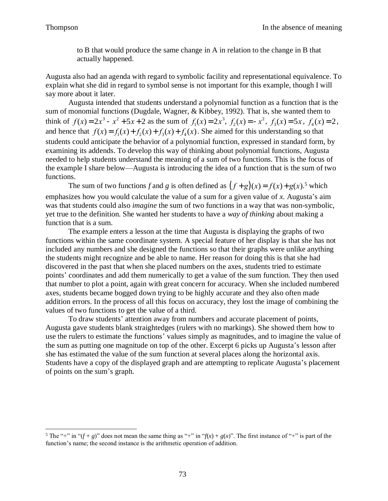$\overline{a}$ 

to B that would produce the same change in A in relation to the change in B that actually happened.

Augusta also had an agenda with regard to symbolic facility and representational equivalence. To explain what she did in regard to symbol sense is not important for this example, though I will say more about it later.

Augusta intended that students understand a polynomial function as a function that is the sum of monomial functions (Dugdale, Wagner, & Kibbey, 1992). That is, she wanted them to think of  $f(x) = 2x^3 - x^2 + 5x + 2$  as the sum of  $f_1(x) = 2x^3$ ,  $f_2(x) = -x^2$ ,  $f_3(x) = 5x$ ,  $f_4(x) = 2$ , and hence that  $f(x) = f_1(x) + f_2(x) + f_3(x) + f_4(x)$ . She aimed for this understanding so that students could anticipate the behavior of a polynomial function, expressed in standard form, by examining its addends. To develop this way of thinking about polynomial functions, Augusta needed to help students understand the meaning of a sum of two functions. This is the focus of the example I share below—Augusta is introducing the idea of a function that is the sum of two functions.

The sum of two functions *f* and *g* is often defined as  $(f+g)(x) = f(x) + g(x)$ .<sup>5</sup> which emphasizes how you would calculate the value of a sum for a given value of *x*. Augusta's aim was that students could also *imagine* the sum of two functions in a way that was non-symbolic, yet true to the definition. She wanted her students to have a *way of thinking* about making a function that is a sum.

The example enters a lesson at the time that Augusta is displaying the graphs of two functions within the same coordinate system. A special feature of her display is that she has not included any numbers and she designed the functions so that their graphs were unlike anything the students might recognize and be able to name. Her reason for doing this is that she had discovered in the past that when she placed numbers on the axes, students tried to estimate points' coordinates and add them numerically to get a value of the sum function. They then used that number to plot a point, again with great concern for accuracy. When she included numbered axes, students became bogged down trying to be highly accurate and they also often made addition errors. In the process of all this focus on accuracy, they lost the image of combining the values of two functions to get the value of a third.

To draw students' attention away from numbers and accurate placement of points, Augusta gave students blank straightedges (rulers with no markings). She showed them how to use the rulers to estimate the functions' values simply as magnitudes, and to imagine the value of the sum as putting one magnitude on top of the other. Excerpt 6 picks up Augusta's lesson after she has estimated the value of the sum function at several places along the horizontal axis. Students have a copy of the displayed graph and are attempting to replicate Augusta's placement of points on the sum's graph.

<sup>&</sup>lt;sup>5</sup> The "+" in " $(f+g)$ " does not mean the same thing as "+" in " $f(x) + g(x)$ ". The first instance of "+" is part of the function's name; the second instance is the arithmetic operation of addition.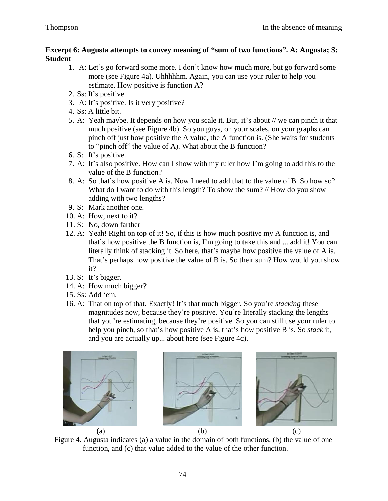# **Excerpt 6: Augusta attempts to convey meaning of "sum of two functions". A: Augusta; S: Student**

- 1. A: Let's go forward some more. I don't know how much more, but go forward some more (see Figure 4a). Uhhhhhm. Again, you can use your ruler to help you estimate. How positive is function A?
- 2. Ss: It's positive.
- 3. A: It's positive. Is it very positive?
- 4. Ss: A little bit.
- 5. A: Yeah maybe. It depends on how you scale it. But, it's about // we can pinch it that much positive (see Figure 4b). So you guys, on your scales, on your graphs can pinch off just how positive the A value, the A function is. (She waits for students to "pinch off" the value of A). What about the B function?
- 6. S: It's positive.
- 7. A: It's also positive. How can I show with my ruler how I'm going to add this to the value of the B function?
- 8. A: So that's how positive A is. Now I need to add that to the value of B. So how so? What do I want to do with this length? To show the sum? // How do you show adding with two lengths?
- 9. S: Mark another one.
- 10. A: How, next to it?
- 11. S: No, down farther
- 12. A: Yeah! Right on top of it! So, if this is how much positive my A function is, and that's how positive the B function is, I'm going to take this and ... add it! You can literally think of stacking it. So here, that's maybe how positive the value of A is. That's perhaps how positive the value of B is. So their sum? How would you show it?
- 13. S: It's bigger.
- 14. A: How much bigger?
- 15. Ss: Add 'em.
- 16. A: That on top of that. Exactly! It's that much bigger. So you're *stacking* these magnitudes now, because they're positive. You're literally stacking the lengths that you're estimating, because they're positive. So you can still use your ruler to help you pinch, so that's how positive A is, that's how positive B is. So *stack* it, and you are actually up... about here (see Figure 4c).



Figure 4. Augusta indicates (a) a value in the domain of both functions, (b) the value of one function, and (c) that value added to the value of the other function.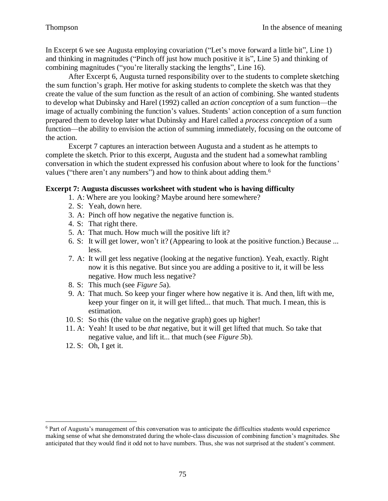In Excerpt 6 we see Augusta employing covariation ("Let's move forward a little bit", Line 1) and thinking in magnitudes ("Pinch off just how much positive it is", Line 5) and thinking of combining magnitudes ("you're literally stacking the lengths", Line 16).

After Excerpt 6, Augusta turned responsibility over to the students to complete sketching the sum function's graph. Her motive for asking students to complete the sketch was that they create the value of the sum function as the result of an action of combining. She wanted students to develop what Dubinsky and Harel (1992) called an *action conception* of a sum function—the image of actually combining the function's values. Students' action conception of a sum function prepared them to develop later what Dubinsky and Harel called a *process conception* of a sum function—the ability to envision the action of summing immediately, focusing on the outcome of the action.

Excerpt 7 captures an interaction between Augusta and a student as he attempts to complete the sketch. Prior to this excerpt, Augusta and the student had a somewhat rambling conversation in which the student expressed his confusion about where to look for the functions' values ("there aren't any numbers") and how to think about adding them.<sup>6</sup>

### **Excerpt 7: Augusta discusses worksheet with student who is having difficulty**

- 1. A: Where are you looking? Maybe around here somewhere?
- 2. S: Yeah, down here.
- 3. A: Pinch off how negative the negative function is.
- 4. S: That right there.
- 5. A: That much. How much will the positive lift it?
- 6. S: It will get lower, won't it? (Appearing to look at the positive function.) Because ... less.
- 7. A: It will get less negative (looking at the negative function). Yeah, exactly. Right now it is this negative. But since you are adding a positive to it, it will be less negative. How much less negative?
- 8. S: This much (see *Figure 5*a).
- 9. A: That much. So keep your finger where how negative it is. And then, lift with me, keep your finger on it, it will get lifted... that much. That much. I mean, this is estimation.
- 10. S: So this (the value on the negative graph) goes up higher!
- 11. A: Yeah! It used to be *that* negative, but it will get lifted that much. So take that negative value, and lift it... that much (see *Figure 5*b).
- 12. S: Oh, I get it.

 $\overline{a}$ 

<sup>6</sup> Part of Augusta's management of this conversation was to anticipate the difficulties students would experience making sense of what she demonstrated during the whole-class discussion of combining function's magnitudes. She anticipated that they would find it odd not to have numbers. Thus, she was not surprised at the student's comment.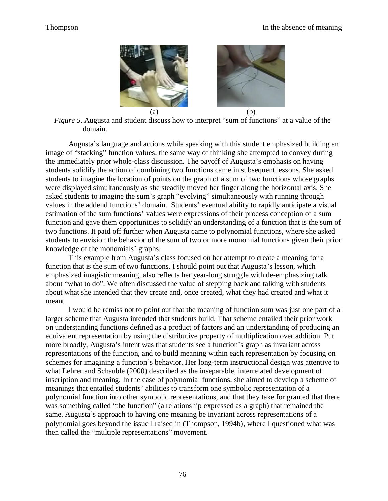

*Figure 5*. Augusta and student discuss how to interpret "sum of functions" at a value of the domain.

Augusta's language and actions while speaking with this student emphasized building an image of "stacking" function values, the same way of thinking she attempted to convey during the immediately prior whole-class discussion. The payoff of Augusta's emphasis on having students solidify the action of combining two functions came in subsequent lessons. She asked students to imagine the location of points on the graph of a sum of two functions whose graphs were displayed simultaneously as she steadily moved her finger along the horizontal axis. She asked students to imagine the sum's graph "evolving" simultaneously with running through values in the addend functions' domain. Students' eventual ability to rapidly anticipate a visual estimation of the sum functions' values were expressions of their process conception of a sum function and gave them opportunities to solidify an understanding of a function that is the sum of two functions. It paid off further when Augusta came to polynomial functions, where she asked students to envision the behavior of the sum of two or more monomial functions given their prior knowledge of the monomials' graphs.

This example from Augusta's class focused on her attempt to create a meaning for a function that is the sum of two functions. I should point out that Augusta's lesson, which emphasized imagistic meaning, also reflects her year-long struggle with de-emphasizing talk about "what to do". We often discussed the value of stepping back and talking with students about what she intended that they create and, once created, what they had created and what it meant.

I would be remiss not to point out that the meaning of function sum was just one part of a larger scheme that Augusta intended that students build. That scheme entailed their prior work on understanding functions defined as a product of factors and an understanding of producing an equivalent representation by using the distributive property of multiplication over addition. Put more broadly, Augusta's intent was that students see a function's graph as invariant across representations of the function, and to build meaning within each representation by focusing on schemes for imagining a function's behavior. Her long-term instructional design was attentive to what Lehrer and Schauble (2000) described as the inseparable, interrelated development of inscription and meaning. In the case of polynomial functions, she aimed to develop a scheme of meanings that entailed students' abilities to transform one symbolic representation of a polynomial function into other symbolic representations, and that they take for granted that there was something called "the function" (a relationship expressed as a graph) that remained the same. Augusta's approach to having one meaning be invariant across representations of a polynomial goes beyond the issue I raised in (Thompson, 1994b), where I questioned what was then called the "multiple representations" movement.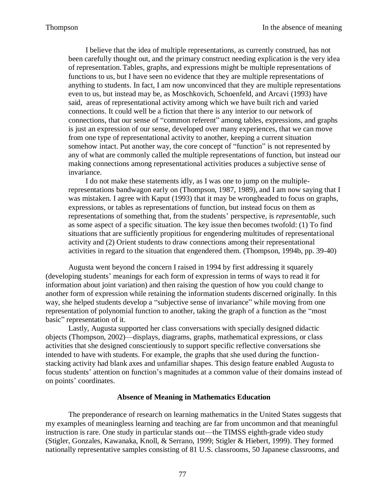I believe that the idea of multiple representations, as currently construed, has not been carefully thought out, and the primary construct needing explication is the very idea of representation. Tables, graphs, and expressions might be multiple representations of functions to us, but I have seen no evidence that they are multiple representations of anything to students. In fact, I am now unconvinced that they are multiple representations even to us, but instead may be, as Moschkovich, Schoenfeld, and Arcavi (1993) have said, areas of representational activity among which we have built rich and varied connections. It could well be a fiction that there is any interior to our network of connections, that our sense of "common referent" among tables, expressions, and graphs is just an expression of our sense, developed over many experiences, that we can move from one type of representational activity to another, keeping a current situation somehow intact. Put another way, the core concept of "function" is not represented by any of what are commonly called the multiple representations of function, but instead our making connections among representational activities produces a subjective sense of invariance.

I do not make these statements idly, as I was one to jump on the multiplerepresentations bandwagon early on (Thompson, 1987, 1989), and I am now saying that I was mistaken. I agree with Kaput (1993) that it may be wrongheaded to focus on graphs, expressions, or tables as representations of function, but instead focus on them as representations of something that, from the students' perspective, is *representable*, such as some aspect of a specific situation. The key issue then becomes twofold: (1) To find situations that are sufficiently propitious for engendering multitudes of representational activity and (2) Orient students to draw connections among their representational activities in regard to the situation that engendered them. (Thompson, 1994b, pp. 39-40)

Augusta went beyond the concern I raised in 1994 by first addressing it squarely (developing students' meanings for each form of expression in terms of ways to read it for information about joint variation) and then raising the question of how you could change to another form of expression while retaining the information students discerned originally. In this way, she helped students develop a "subjective sense of invariance" while moving from one representation of polynomial function to another, taking the graph of a function as the "most basic" representation of it.

Lastly, Augusta supported her class conversations with specially designed didactic objects (Thompson, 2002)—displays, diagrams, graphs, mathematical expressions, or class activities that she designed conscientiously to support specific reflective conversations she intended to have with students. For example, the graphs that she used during the functionstacking activity had blank axes and unfamiliar shapes. This design feature enabled Augusta to focus students' attention on function's magnitudes at a common value of their domains instead of on points' coordinates.

### **Absence of Meaning in Mathematics Education**

The preponderance of research on learning mathematics in the United States suggests that my examples of meaningless learning and teaching are far from uncommon and that meaningful instruction is rare. One study in particular stands out—the TIMSS eighth-grade video study (Stigler, Gonzales, Kawanaka, Knoll, & Serrano, 1999; Stigler & Hiebert, 1999). They formed nationally representative samples consisting of 81 U.S. classrooms, 50 Japanese classrooms, and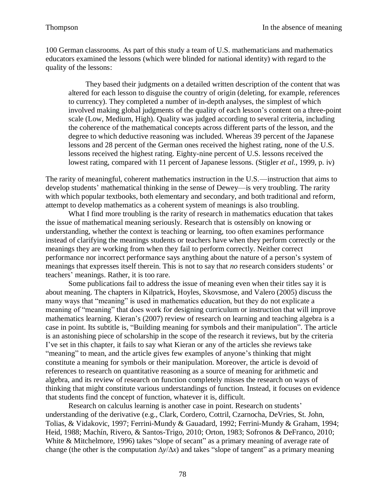100 German classrooms. As part of this study a team of U.S. mathematicians and mathematics educators examined the lessons (which were blinded for national identity) with regard to the quality of the lessons:

They based their judgments on a detailed written description of the content that was altered for each lesson to disguise the country of origin (deleting, for example, references to currency). They completed a number of in-depth analyses, the simplest of which involved making global judgments of the quality of each lesson's content on a three-point scale (Low, Medium, High). Quality was judged according to several criteria, including the coherence of the mathematical concepts across different parts of the lesson, and the degree to which deductive reasoning was included. Whereas 39 percent of the Japanese lessons and 28 percent of the German ones received the highest rating, none of the U.S. lessons received the highest rating. Eighty-nine percent of U.S. lessons received the lowest rating, compared with 11 percent of Japanese lessons. (Stigler *et al.*, 1999, p. iv)

The rarity of meaningful, coherent mathematics instruction in the U.S.—instruction that aims to develop students' mathematical thinking in the sense of Dewey—is very troubling. The rarity with which popular textbooks, both elementary and secondary, and both traditional and reform, attempt to develop mathematics as a coherent system of meanings is also troubling.

What I find more troubling is the rarity of research in mathematics education that takes the issue of mathematical meaning seriously. Research that is ostensibly on knowing or understanding, whether the context is teaching or learning, too often examines performance instead of clarifying the meanings students or teachers have when they perform correctly or the meanings they are working from when they fail to perform correctly. Neither correct performance nor incorrect performance says anything about the nature of a person's system of meanings that expresses itself therein. This is not to say that *no* research considers students' or teachers' meanings. Rather, it is too rare.

Some publications fail to address the issue of meaning even when their titles say it is about meaning. The chapters in Kilpatrick, Hoyles, Skovsmose, and Valero (2005) discuss the many ways that "meaning" is used in mathematics education, but they do not explicate a meaning of "meaning" that does work for designing curriculum or instruction that will improve mathematics learning. Kieran's (2007) review of research on learning and teaching algebra is a case in point. Its subtitle is, "Building meaning for symbols and their manipulation". The article is an astonishing piece of scholarship in the scope of the research it reviews, but by the criteria I've set in this chapter, it fails to say what Kieran or any of the articles she reviews take "meaning" to mean, and the article gives few examples of anyone's thinking that might constitute a meaning for symbols or their manipulation. Moreover, the article is devoid of references to research on quantitative reasoning as a source of meaning for arithmetic and algebra, and its review of research on function completely misses the research on ways of thinking that might constitute various understandings of function. Instead, it focuses on evidence that students find the concept of function, whatever it is, difficult.

Research on calculus learning is another case in point. Research on students' understanding of the derivative (e.g., Clark, Cordero, Cottril, Czarnocha, DeVries, St. John, Tolias, & Vidakovic, 1997; Ferrini-Mundy & Gauadard, 1992; Ferrini-Mundy & Graham, 1994; Heid, 1988; Machín, Rivero, & Santos-Trigo, 2010; Orton, 1983; Sofronos & DeFranco, 2010; White & Mitchelmore, 1996) takes "slope of secant" as a primary meaning of average rate of change (the other is the computation  $\Delta y/\Delta x$ ) and takes "slope of tangent" as a primary meaning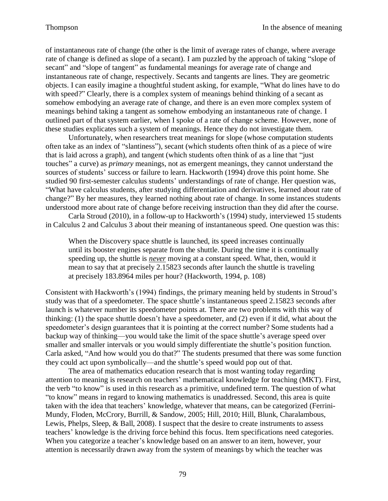of instantaneous rate of change (the other is the limit of average rates of change, where average rate of change is defined as slope of a secant). I am puzzled by the approach of taking "slope of secant" and "slope of tangent" as fundamental meanings for average rate of change and instantaneous rate of change, respectively. Secants and tangents are lines. They are geometric objects. I can easily imagine a thoughtful student asking, for example, "What do lines have to do with speed?" Clearly, there is a complex system of meanings behind thinking of a secant as somehow embodying an average rate of change, and there is an even more complex system of meanings behind taking a tangent as somehow embodying an instantaneous rate of change. I outlined part of that system earlier, when I spoke of a rate of change scheme. However, none of these studies explicates such a system of meanings. Hence they do not investigate them.

Unfortunately, when researchers treat meanings for slope (whose computation students often take as an index of "slantiness"), secant (which students often think of as a piece of wire that is laid across a graph), and tangent (which students often think of as a line that "just touches" a curve) as *primary* meanings, not as emergent meanings, they cannot understand the sources of students' success or failure to learn. Hackworth (1994) drove this point home. She studied 90 first-semester calculus students' understandings of rate of change. Her question was, "What have calculus students, after studying differentiation and derivatives, learned about rate of change?" By her measures, they learned nothing about rate of change. In some instances students understood more about rate of change before receiving instruction than they did after the course.

Carla Stroud (2010), in a follow-up to Hackworth's (1994) study, interviewed 15 students in Calculus 2 and Calculus 3 about their meaning of instantaneous speed. One question was this:

When the Discovery space shuttle is launched, its speed increases continually until its booster engines separate from the shuttle. During the time it is continually speeding up, the shuttle is *never* moving at a constant speed. What, then, would it mean to say that at precisely 2.15823 seconds after launch the shuttle is traveling at precisely 183.8964 miles per hour? (Hackworth, 1994, p. 108)

Consistent with Hackworth's (1994) findings, the primary meaning held by students in Stroud's study was that of a speedometer. The space shuttle's instantaneous speed 2.15823 seconds after launch is whatever number its speedometer points at. There are two problems with this way of thinking: (1) the space shuttle doesn't have a speedometer, and (2) even if it did, what about the speedometer's design guarantees that it is pointing at the correct number? Some students had a backup way of thinking—you would take the limit of the space shuttle's average speed over smaller and smaller intervals or you would simply differentiate the shuttle's position function. Carla asked, "And how would you do that?" The students presumed that there was some function they could act upon symbolically—and the shuttle's speed would pop out of that.

The area of mathematics education research that is most wanting today regarding attention to meaning is research on teachers' mathematical knowledge for teaching (MKT). First, the verb "to know" is used in this research as a primitive, undefined term. The question of what "to know" means in regard to knowing mathematics is unaddressed. Second, this area is quite taken with the idea that teachers' knowledge, whatever that means, can be categorized (Ferrini-Mundy, Floden, McCrory, Burrill, & Sandow, 2005; Hill, 2010; Hill, Blunk, Charalambous, Lewis, Phelps, Sleep, & Ball, 2008). I suspect that the desire to create instruments to assess teachers' knowledge is the driving force behind this focus. Item specifications need categories. When you categorize a teacher's knowledge based on an answer to an item, however, your attention is necessarily drawn away from the system of meanings by which the teacher was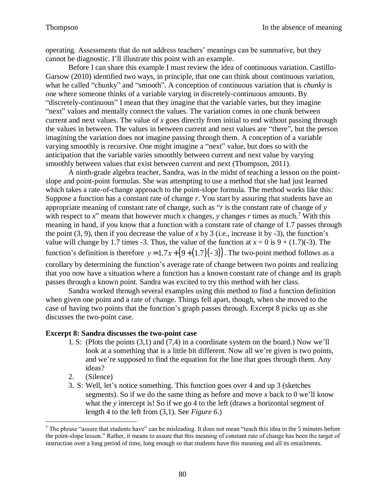operating. Assessments that do not address teachers' meanings can be summative, but they cannot be diagnostic. I'll illustrate this point with an example.

Before I can share this example I must review the idea of continuous variation. Castillo-Garsow (2010) identified two ways, in principle, that one can think about continuous variation, what he called "chunky" and "smooth". A conception of continuous variation that is *chunky* is one where someone thinks of a variable varying in discretely-continuous amounts. By "discretely-continuous" I mean that they imagine that the variable varies, but they imagine "next" values and mentally connect the values. The variation comes in one chunk between current and next values. The value of *x* goes directly from initial to end without passing through the values in between. The values in between current and next values are "there", but the person imagining the variation does not imagine passing through them. A conception of a variable varying smoothly is recursive. One might imagine a "next" value, but does so with the anticipation that the variable varies smoothly between current and next value by varying smoothly between values that exist between current and next (Thompson, 2011).

A ninth-grade algebra teacher, Sandra, was in the midst of teaching a lesson on the pointslope and point-point formulas. She was attempting to use a method that she had just learned which takes a rate-of-change approach to the point-slope formula. The method works like this: Suppose a function has a constant rate of change *r*. You start by assuring that students have an appropriate meaning of constant rate of change, such as "*r* is the constant rate of change of *y* with respect to  $x^{\prime\prime}$  means that however much x changes, y changes r times as much.<sup>7</sup> With this meaning in hand, if you know that a function with a constant rate of change of 1.7 passes through the point  $(3, 9)$ , then if you decrease the value of *x* by 3 (i.e., increase it by -3), the function's value will change by 1.7 times -3. Thus, the value of the function at  $x = 0$  is  $9 + (1.7)(-3)$ . The function's definition is therefore  $y = 1.7x + (9 + (1.7)(-3))$ . The two-point method follows as a

corollary by determining the function's average rate of change between two points and realizing that you now have a situation where a function has a known constant rate of change and its graph passes through a known point. Sandra was excited to try this method with her class.

Sandra worked through several examples using this method to find a function definition when given one point and a rate of change. Things fell apart, though, when she moved to the case of having two points that the function's graph passes through. Excerpt 8 picks up as she discusses the two-point case.

### **Excerpt 8: Sandra discusses the two-point case**

- 1. S: (Plots the points (3,1) and (7,4) in a coordinate system on the board.) Now we'll look at a something that is a little bit different. Now all we're given is two points, and we're supposed to find the equation for the line that goes through them. Any ideas?
- 2. (Silence)

 $\overline{a}$ 

3. S: Well, let's notice something. This function goes over 4 and up 3 (sketches segments). So if we do the same thing as before and move *x* back to 0 we'll know what the *y* intercept is! So if we go 4 to the left (draws a horizontal segment of length 4 to the left from (3,1). See *Figure 6*.)

<sup>&</sup>lt;sup>7</sup> The phrase "assure that students have" can be misleading. It does not mean "teach this idea in the 5 minutes before the point-slope lesson." Rather, it means to assure that this meaning of constant rate of change has been the target of instruction over a long period of time, long enough so that students have this meaning and all its entailments.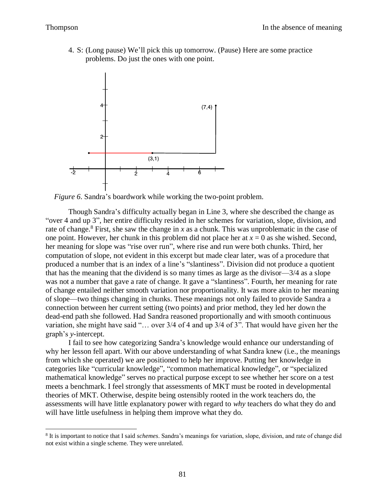$\overline{a}$ 

4. S: (Long pause) We'll pick this up tomorrow. (Pause) Here are some practice problems. Do just the ones with one point.



*Figure 6*. Sandra's boardwork while working the two-point problem.

Though Sandra's difficulty actually began in Line 3, where she described the change as "over 4 and up 3", her entire difficulty resided in her schemes for variation, slope, division, and rate of change.<sup>8</sup> First, she saw the change in *x* as a chunk. This was unproblematic in the case of one point. However, her chunk in this problem did not place her at  $x = 0$  as she wished. Second, her meaning for slope was "rise over run", where rise and run were both chunks. Third, her computation of slope, not evident in this excerpt but made clear later, was of a procedure that produced a number that is an index of a line's "slantiness". Division did not produce a quotient that has the meaning that the dividend is so many times as large as the divisor—3/4 as a slope was not a number that gave a rate of change. It gave a "slantiness". Fourth, her meaning for rate of change entailed neither smooth variation nor proportionality. It was more akin to her meaning of slope—two things changing in chunks. These meanings not only failed to provide Sandra a connection between her current setting (two points) and prior method, they led her down the dead-end path she followed. Had Sandra reasoned proportionally and with smooth continuous variation, she might have said "… over 3/4 of 4 and up 3/4 of 3". That would have given her the graph's *y*-intercept.

I fail to see how categorizing Sandra's knowledge would enhance our understanding of why her lesson fell apart. With our above understanding of what Sandra knew (i.e., the meanings from which she operated) we are positioned to help her improve. Putting her knowledge in categories like "curricular knowledge", "common mathematical knowledge", or "specialized mathematical knowledge" serves no practical purpose except to see whether her score on a test meets a benchmark. I feel strongly that assessments of MKT must be rooted in developmental theories of MKT. Otherwise, despite being ostensibly rooted in the work teachers do, the assessments will have little explanatory power with regard to *why* teachers do what they do and will have little usefulness in helping them improve what they do.

<sup>8</sup> It is important to notice that I said *schemes*. Sandra's meanings for variation, slope, division, and rate of change did not exist within a single scheme. They were unrelated.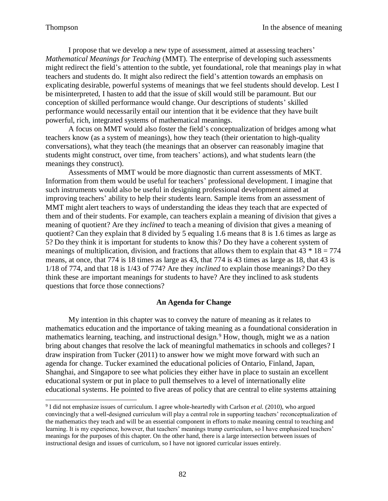$\overline{a}$ 

I propose that we develop a new type of assessment, aimed at assessing teachers' *Mathematical Meanings for Teaching* (MMT)*.* The enterprise of developing such assessments might redirect the field's attention to the subtle, yet foundational, role that meanings play in what teachers and students do. It might also redirect the field's attention towards an emphasis on explicating desirable, powerful systems of meanings that we feel students should develop. Lest I be misinterpreted, I hasten to add that the issue of skill would still be paramount. But our conception of skilled performance would change. Our descriptions of students' skilled performance would necessarily entail our intention that it be evidence that they have built powerful, rich, integrated systems of mathematical meanings.

A focus on MMT would also foster the field's conceptualization of bridges among what teachers know (as a system of meanings), how they teach (their orientation to high-quality conversations), what they teach (the meanings that an observer can reasonably imagine that students might construct, over time, from teachers' actions), and what students learn (the meanings they construct).

Assessments of MMT would be more diagnostic than current assessments of MKT. Information from them would be useful for teachers' professional development. I imagine that such instruments would also be useful in designing professional development aimed at improving teachers' ability to help their students learn. Sample items from an assessment of MMT might alert teachers to ways of understanding the ideas they teach that are expected of them and of their students. For example, can teachers explain a meaning of division that gives a meaning of quotient? Are they *inclined* to teach a meaning of division that gives a meaning of quotient? Can they explain that 8 divided by 5 equaling 1.6 means that 8 is 1.6 times as large as 5? Do they think it is important for students to know this? Do they have a coherent system of meanings of multiplication, division, and fractions that allows them to explain that  $43 * 18 = 774$ means, at once, that 774 is 18 times as large as 43, that 774 is 43 times as large as 18, that 43 is 1/18 of 774, and that 18 is 1/43 of 774? Are they *inclined* to explain those meanings? Do they think these are important meanings for students to have? Are they inclined to ask students questions that force those connections?

#### **An Agenda for Change**

My intention in this chapter was to convey the nature of meaning as it relates to mathematics education and the importance of taking meaning as a foundational consideration in mathematics learning, teaching, and instructional design.<sup>9</sup> How, though, might we as a nation bring about changes that resolve the lack of meaningful mathematics in schools and colleges? I draw inspiration from Tucker (2011) to answer how we might move forward with such an agenda for change. Tucker examined the educational policies of Ontario, Finland, Japan, Shanghai, and Singapore to see what policies they either have in place to sustain an excellent educational system or put in place to pull themselves to a level of internationally elite educational systems. He pointed to five areas of policy that are central to elite systems attaining

<sup>9</sup> I did not emphasize issues of curriculum. I agree whole-heartedly with Carlson *et al.* (2010), who argued convincingly that a well-designed curriculum will play a central role in supporting teachers' reconceptualization of the mathematics they teach and will be an essential component in efforts to make meaning central to teaching and learning. It is my experience, however, that teachers' meanings trump curriculum, so I have emphasized teachers' meanings for the purposes of this chapter. On the other hand, there is a large intersection between issues of instructional design and issues of curriculum, so I have not ignored curricular issues entirely.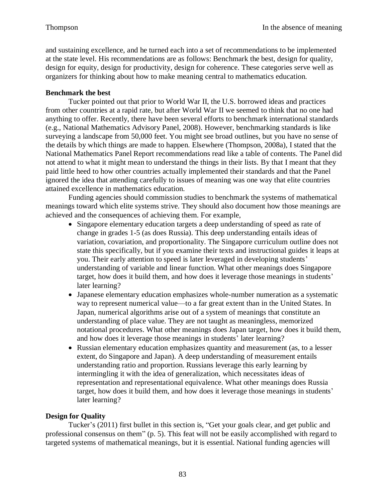and sustaining excellence, and he turned each into a set of recommendations to be implemented at the state level. His recommendations are as follows: Benchmark the best, design for quality, design for equity, design for productivity, design for coherence. These categories serve well as organizers for thinking about how to make meaning central to mathematics education.

# **Benchmark the best**

Tucker pointed out that prior to World War II, the U.S. borrowed ideas and practices from other countries at a rapid rate, but after World War II we seemed to think that no one had anything to offer. Recently, there have been several efforts to benchmark international standards (e.g., National Mathematics Advisory Panel, 2008). However, benchmarking standards is like surveying a landscape from 50,000 feet. You might see broad outlines, but you have no sense of the details by which things are made to happen. Elsewhere (Thompson, 2008a), I stated that the National Mathematics Panel Report recommendations read like a table of contents. The Panel did not attend to what it might mean to understand the things in their lists. By that I meant that they paid little heed to how other countries actually implemented their standards and that the Panel ignored the idea that attending carefully to issues of meaning was one way that elite countries attained excellence in mathematics education.

Funding agencies should commission studies to benchmark the systems of mathematical meanings toward which elite systems strive. They should also document how those meanings are achieved and the consequences of achieving them. For example,

- Singapore elementary education targets a deep understanding of speed as rate of change in grades 1-5 (as does Russia). This deep understanding entails ideas of variation, covariation, and proportionality. The Singapore curriculum outline does not state this specifically, but if you examine their texts and instructional guides it leaps at you. Their early attention to speed is later leveraged in developing students' understanding of variable and linear function. What other meanings does Singapore target, how does it build them, and how does it leverage those meanings in students' later learning?
- Japanese elementary education emphasizes whole-number numeration as a systematic way to represent numerical value—to a far great extent than in the United States. In Japan, numerical algorithms arise out of a system of meanings that constitute an understanding of place value. They are not taught as meaningless, memorized notational procedures. What other meanings does Japan target, how does it build them, and how does it leverage those meanings in students' later learning?
- Russian elementary education emphasizes quantity and measurement (as, to a lesser extent, do Singapore and Japan). A deep understanding of measurement entails understanding ratio and proportion. Russians leverage this early learning by intermingling it with the idea of generalization, which necessitates ideas of representation and representational equivalence. What other meanings does Russia target, how does it build them, and how does it leverage those meanings in students' later learning?

# **Design for Quality**

Tucker's (2011) first bullet in this section is, "Get your goals clear, and get public and professional consensus on them" (p. 5). This feat will not be easily accomplished with regard to targeted systems of mathematical meanings, but it is essential. National funding agencies will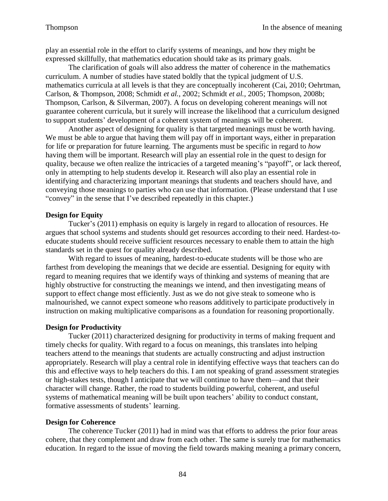play an essential role in the effort to clarify systems of meanings, and how they might be expressed skillfully, that mathematics education should take as its primary goals.

The clarification of goals will also address the matter of coherence in the mathematics curriculum. A number of studies have stated boldly that the typical judgment of U.S. mathematics curricula at all levels is that they are conceptually incoherent (Cai, 2010; Oehrtman, Carlson, & Thompson, 2008; Schmidt *et al.*, 2002; Schmidt *et al.*, 2005; Thompson, 2008b; Thompson, Carlson, & Silverman, 2007). A focus on developing coherent meanings will not guarantee coherent curricula, but it surely will increase the likelihood that a curriculum designed to support students' development of a coherent system of meanings will be coherent.

Another aspect of designing for quality is that targeted meanings must be worth having. We must be able to argue that having them will pay off in important ways, either in preparation for life or preparation for future learning. The arguments must be specific in regard to *how* having them will be important. Research will play an essential role in the quest to design for quality, because we often realize the intricacies of a targeted meaning's "payoff", or lack thereof, only in attempting to help students develop it. Research will also play an essential role in identifying and characterizing important meanings that students and teachers should have, and conveying those meanings to parties who can use that information. (Please understand that I use "convey" in the sense that I've described repeatedly in this chapter.)

# **Design for Equity**

Tucker's (2011) emphasis on equity is largely in regard to allocation of resources. He argues that school systems and students should get resources according to their need. Hardest-toeducate students should receive sufficient resources necessary to enable them to attain the high standards set in the quest for quality already described.

With regard to issues of meaning, hardest-to-educate students will be those who are farthest from developing the meanings that we decide are essential. Designing for equity with regard to meaning requires that we identify ways of thinking and systems of meaning that are highly obstructive for constructing the meanings we intend, and then investigating means of support to effect change most efficiently. Just as we do not give steak to someone who is malnourished, we cannot expect someone who reasons additively to participate productively in instruction on making multiplicative comparisons as a foundation for reasoning proportionally.

# **Design for Productivity**

Tucker (2011) characterized designing for productivity in terms of making frequent and timely checks for quality. With regard to a focus on meanings, this translates into helping teachers attend to the meanings that students are actually constructing and adjust instruction appropriately. Research will play a central role in identifying effective ways that teachers can do this and effective ways to help teachers do this. I am not speaking of grand assessment strategies or high-stakes tests, though I anticipate that we will continue to have them—and that their character will change. Rather, the road to students building powerful, coherent, and useful systems of mathematical meaning will be built upon teachers' ability to conduct constant, formative assessments of students' learning.

### **Design for Coherence**

The coherence Tucker (2011) had in mind was that efforts to address the prior four areas cohere, that they complement and draw from each other. The same is surely true for mathematics education. In regard to the issue of moving the field towards making meaning a primary concern,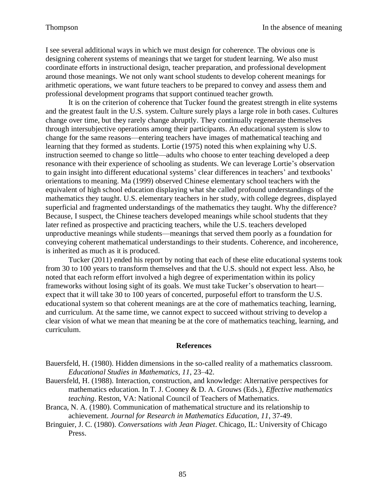I see several additional ways in which we must design for coherence. The obvious one is designing coherent systems of meanings that we target for student learning. We also must coordinate efforts in instructional design, teacher preparation, and professional development around those meanings. We not only want school students to develop coherent meanings for arithmetic operations, we want future teachers to be prepared to convey and assess them and professional development programs that support continued teacher growth.

It is on the criterion of coherence that Tucker found the greatest strength in elite systems and the greatest fault in the U.S. system. Culture surely plays a large role in both cases. Cultures change over time, but they rarely change abruptly. They continually regenerate themselves through intersubjective operations among their participants. An educational system is slow to change for the same reasons—entering teachers have images of mathematical teaching and learning that they formed as students. Lortie (1975) noted this when explaining why U.S. instruction seemed to change so little—adults who choose to enter teaching developed a deep resonance with their experience of schooling as students. We can leverage Lortie's observation to gain insight into different educational systems' clear differences in teachers' and textbooks' orientations to meaning. Ma (1999) observed Chinese elementary school teachers with the equivalent of high school education displaying what she called profound understandings of the mathematics they taught. U.S. elementary teachers in her study, with college degrees, displayed superficial and fragmented understandings of the mathematics they taught. Why the difference? Because, I suspect, the Chinese teachers developed meanings while school students that they later refined as prospective and practicing teachers, while the U.S. teachers developed unproductive meanings while students—meanings that served them poorly as a foundation for conveying coherent mathematical understandings to their students. Coherence, and incoherence, is inherited as much as it is produced.

Tucker (2011) ended his report by noting that each of these elite educational systems took from 30 to 100 years to transform themselves and that the U.S. should not expect less. Also, he noted that each reform effort involved a high degree of experimentation within its policy frameworks without losing sight of its goals. We must take Tucker's observation to heart expect that it will take 30 to 100 years of concerted, purposeful effort to transform the U.S. educational system so that coherent meanings are at the core of mathematics teaching, learning, and curriculum. At the same time, we cannot expect to succeed without striving to develop a clear vision of what we mean that meaning be at the core of mathematics teaching, learning, and curriculum.

#### **References**

- Bauersfeld, H. (1980). Hidden dimensions in the so-called reality of a mathematics classroom. *Educational Studies in Mathematics, 11*, 23–42.
- Bauersfeld, H. (1988). Interaction, construction, and knowledge: Alternative perspectives for mathematics education. In T. J. Cooney & D. A. Grouws (Eds.), *Effective mathematics teaching*. Reston, VA: National Council of Teachers of Mathematics.
- Branca, N. A. (1980). Communication of mathematical structure and its relationship to achievement. *Journal for Research in Mathematics Education, 11*, 37-49.
- Bringuier, J. C. (1980). *Conversations with Jean Piaget*. Chicago, IL: University of Chicago Press.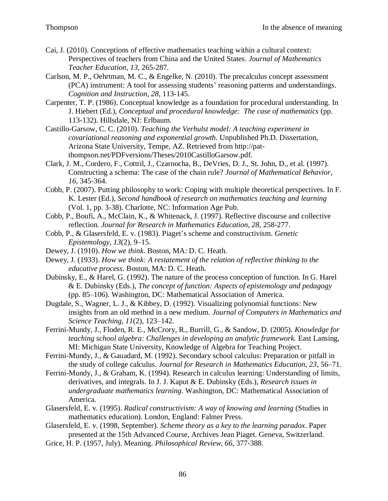- Cai, J. (2010). Conceptions of effective mathematics teaching within a cultural context: Perspectives of teachers from China and the United States. *Journal of Mathematics Teacher Education, 13*, 265-287.
- Carlson, M. P., Oehrtman, M. C., & Engelke, N. (2010). The precalculus concept assessment (PCA) instrument: A tool for assessing students' reasoning patterns and understandings. *Cognition and Instruction, 28*, 113-145.
- Carpenter, T. P. (1986). Conceptual knowledge as a foundation for procedural understanding. In J. Hiebert (Ed.), *Conceptual and procedural knowledge: The case of mathematics* (pp. 113-132). Hillsdale, NJ: Erlbaum.
- Castillo-Garsow, C. C. (2010). *Teaching the Verhulst model: A teaching experiment in covariational reasoning and exponential growth.* Unpublished Ph.D. Dissertation, Arizona State University, Tempe, AZ. Retrieved from http://patthompson.net/PDFversions/Theses/2010CastilloGarsow.pdf.
- Clark, J. M., Cordero, F., Cottril, J., Czarnocha, B., DeVries, D. J., St. John, D., et al. (1997). Constructing a schema: The case of the chain rule? *Journal of Mathematical Behavior, 16*, 345-364.
- Cobb, P. (2007). Putting philosophy to work: Coping with multiple theoretical perspectives. In F. K. Lester (Ed.), *Second handbook of research on mathematics teaching and learning* (Vol. 1, pp. 3-38). Charlotte, NC: Information Age Pub.
- Cobb, P., Boufi, A., McClain, K., & Whitenack, J. (1997). Reflective discourse and collective reflection. *Journal for Research in Mathematics Education, 28*, 258-277.
- Cobb, P., & Glasersfeld, E. v. (1983). Piaget's scheme and constructivism. *Genetic Epistemology, 13*(2), 9–15.
- Dewey, J. (1910). *How we think*. Boston, MA: D. C. Heath.
- Dewey, J. (1933). *How we think: A restatement of the relation of reflective thinking to the educative process*. Boston, MA: D. C. Heath.
- Dubinsky, E., & Harel, G. (1992). The nature of the process conception of function. In G. Harel & E. Dubinsky (Eds.), *The concept of function: Aspects of epistemology and pedagogy* (pp. 85–106). Washington, DC: Mathematical Association of America.
- Dugdale, S., Wagner, L. J., & Kibbey, D. (1992). Visualizing polynomial functions: New insights from an old method in a new medium. *Journal of Computers in Mathematics and Science Teaching, 11*(2), 123–142.
- Ferrini-Mundy, J., Floden, R. E., McCrory, R., Burrill, G., & Sandow, D. (2005). *Knowledge for teaching school algebra: Challenges in developing an analytic framework.* East Lansing, MI: Michigan State University, Knowledge of Algebra for Teaching Project.
- Ferrini-Mundy, J., & Gauadard, M. (1992). Secondary school calculus: Preparation or pitfall in the study of college calculus. *Journal for Research in Mathematics Education, 23*, 56–71.
- Ferrini-Mundy, J., & Graham, K. (1994). Research in calculus learning: Understanding of limits, derivatives, and integrals. In J. J. Kaput & E. Dubinsky (Eds.), *Research issues in undergraduate mathematics learning*. Washington, DC: Mathematical Association of America.
- Glasersfeld, E. v. (1995). *Radical constructivism: A way of knowing and learning* (Studies in mathematics education). London, England: Falmer Press.
- Glasersfeld, E. v. (1998, September). *Scheme theory as a key to the learning paradox*. Paper presented at the 15th Advanced Course, Archives Jean Piaget. Geneva, Switzerland.
- Grice, H. P. (1957, July). Meaning. *Philosophical Review, 66*, 377-388.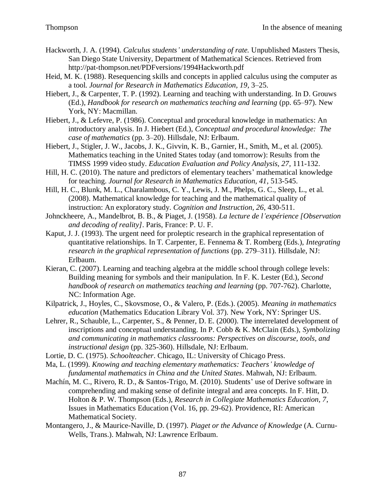- Hackworth, J. A. (1994). *Calculus students' understanding of rate.* Unpublished Masters Thesis, San Diego State University, Department of Mathematical Sciences. Retrieved from http://pat-thompson.net/PDFversions/1994Hackworth.pdf
- Heid, M. K. (1988). Resequencing skills and concepts in applied calculus using the computer as a tool. *Journal for Research in Mathematics Education, 19*, 3–25.
- Hiebert, J., & Carpenter, T. P. (1992). Learning and teaching with understanding. In D. Grouws (Ed.), *Handbook for research on mathematics teaching and learning* (pp. 65–97). New York, NY: Macmillan.
- Hiebert, J., & Lefevre, P. (1986). Conceptual and procedural knowledge in mathematics: An introductory analysis. In J. Hiebert (Ed.), *Conceptual and procedural knowledge: The case of mathematics* (pp. 3–20). Hillsdale, NJ: Erlbaum.
- Hiebert, J., Stigler, J. W., Jacobs, J. K., Givvin, K. B., Garnier, H., Smith, M., et al. (2005). Mathematics teaching in the United States today (and tomorrow): Results from the TIMSS 1999 video study. *Education Evaluation and Policy Analysis, 27*, 111-132.
- Hill, H. C. (2010). The nature and predictors of elementary teachers' mathematical knowledge for teaching. *Journal for Research in Mathematics Education, 41*, 513-545.
- Hill, H. C., Blunk, M. L., Charalambous, C. Y., Lewis, J. M., Phelps, G. C., Sleep, L., et al. (2008). Mathematical knowledge for teaching and the mathematical quality of instruction: An exploratory study. *Cognition and Instruction, 26*, 430-511.
- Johnckheere, A., Mandelbrot, B. B., & Piaget, J. (1958). *La lecture de l'expérience [Observation and decoding of reality]*. Paris, France: P. U. F.
- Kaput, J. J. (1993). The urgent need for proleptic research in the graphical representation of quantitative relationships. In T. Carpenter, E. Fennema & T. Romberg (Eds.), *Integrating research in the graphical representation of functions* (pp. 279–311). Hillsdale, NJ: Erlbaum.
- Kieran, C. (2007). Learning and teaching algebra at the middle school through college levels: Building meaning for symbols and their manipulation. In F. K. Lester (Ed.), *Second handbook of research on mathematics teaching and learning* (pp. 707-762). Charlotte, NC: Information Age.
- Kilpatrick, J., Hoyles, C., Skovsmose, O., & Valero, P. (Eds.). (2005). *Meaning in mathematics education* (Mathematics Education Library Vol. 37). New York, NY: Springer US.
- Lehrer, R., Schauble, L., Carpenter, S., & Penner, D. E. (2000). The interrelated development of inscriptions and conceptual understanding. In P. Cobb & K. McClain (Eds.), *Symbolizing and communicating in mathematics classrooms: Perspectives on discourse, tools, and instructional design* (pp. 325-360). Hillsdale, NJ: Erlbaum.
- Lortie, D. C. (1975). *Schoolteacher*. Chicago, IL: University of Chicago Press.
- Ma, L. (1999). *Knowing and teaching elementary mathematics: Teachers' knowledge of fundamental mathematics in China and the United States*. Mahwah, NJ: Erlbaum.
- Machín, M. C., Rivero, R. D., & Santos-Trigo, M. (2010). Students' use of Derive software in comprehending and making sense of definite integral and area concepts. In F. Hitt, D. Holton & P. W. Thompson (Eds.), *Research in Collegiate Mathematics Education, 7*, Issues in Mathematics Education (Vol. 16, pp. 29-62). Providence, RI: American Mathematical Society.
- Montangero, J., & Maurice-Naville, D. (1997). *Piaget or the Advance of Knowledge* (A. Curnu-Wells, Trans.). Mahwah, NJ: Lawrence Erlbaum.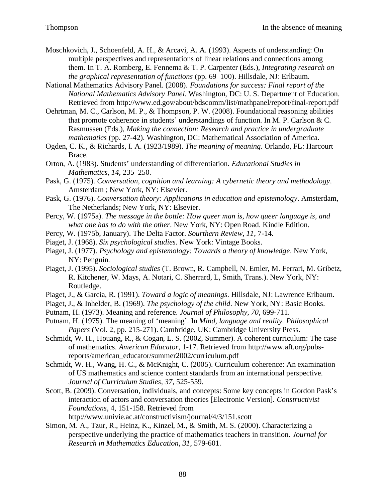- Moschkovich, J., Schoenfeld, A. H., & Arcavi, A. A. (1993). Aspects of understanding: On multiple perspectives and representations of linear relations and connections among them. In T. A. Romberg, E. Fennema & T. P. Carpenter (Eds.), *Integrating research on the graphical representation of functions* (pp. 69–100). Hillsdale, NJ: Erlbaum.
- National Mathematics Advisory Panel. (2008). *Foundations for success: Final report of the National Mathematics Advisory Panel*. Washington, DC: U. S. Department of Education. Retrieved from http://www.ed.gov/about/bdscomm/list/mathpanel/report/final-report.pdf
- Oehrtman, M. C., Carlson, M. P., & Thompson, P. W. (2008). Foundational reasoning abilities that promote coherence in students' understandings of function. In M. P. Carlson & C. Rasmussen (Eds.), *Making the connection: Research and practice in undergraduate mathematics* (pp. 27-42). Washington, DC: Mathematical Association of America.
- Ogden, C. K., & Richards, I. A. (1923/1989). *The meaning of meaning*. Orlando, FL: Harcourt Brace.
- Orton, A. (1983). Students' understanding of differentiation. *Educational Studies in Mathematics, 14*, 235–250.
- Pask, G. (1975). *Conversation, cognition and learning: A cybernetic theory and methodology*. Amsterdam ; New York, NY: Elsevier.
- Pask, G. (1976). *Conversation theory: Applications in education and epistemology*. Amsterdam, The Netherlands; New York, NY: Elsevier.
- Percy, W. (1975a). *The message in the bottle: How queer man is, how queer language is, and what one has to do with the other*. New York, NY: Open Road. Kindle Edition.
- Percy, W. (1975b, January). The Delta Factor. *Sourthern Review, 11*, 7-14.
- Piaget, J. (1968). *Six psychological studies*. New York: Vintage Books.
- Piaget, J. (1977). *Psychology and epistemology: Towards a theory of knowledge*. New York, NY: Penguin.
- Piaget, J. (1995). *Sociological studies* (T. Brown, R. Campbell, N. Emler, M. Ferrari, M. Gribetz, R. Kitchener, W. Mays, A. Notari, C. Sherrard, L, Smith, Trans.). New York, NY: Routledge.
- Piaget, J., & Garcia, R. (1991). *Toward a logic of meanings*. Hillsdale, NJ: Lawrence Erlbaum.
- Piaget, J., & Inhelder, B. (1969). *The psychology of the child*. New York, NY: Basic Books.
- Putnam, H. (1973). Meaning and reference. *Journal of Philosophy, 70*, 699-711.
- Putnam, H. (1975). The meaning of 'meaning'. In *Mind, language and reality. Philosophical Papers* (Vol. 2, pp. 215-271). Cambridge, UK: Cambridge University Press.
- Schmidt, W. H., Houang, R., & Cogan, L. S. (2002, Summer). A coherent curriculum: The case of mathematics. *American Educator*, 1-17. Retrieved from http://www.aft.org/pubsreports/american\_educator/summer2002/curriculum.pdf
- Schmidt, W. H., Wang, H. C., & McKnight, C. (2005). Curriculum coherence: An examination of US mathematics and science content standards from an international perspective. *Journal of Curriculum Studies, 37*, 525-559.
- Scott, B. (2009). Conversation, individuals, and concepts: Some key concepts in Gordon Pask's interaction of actors and conversation theories [Electronic Version]. *Constructivist Foundations*, 4, 151-158. Retrieved from http://www.univie.ac.at/constructivism/journal/4/3/151.scott
- Simon, M. A., Tzur, R., Heinz, K., Kinzel, M., & Smith, M. S. (2000). Characterizing a perspective underlying the practice of mathematics teachers in transition. *Journal for Research in Mathematics Education, 31*, 579-601.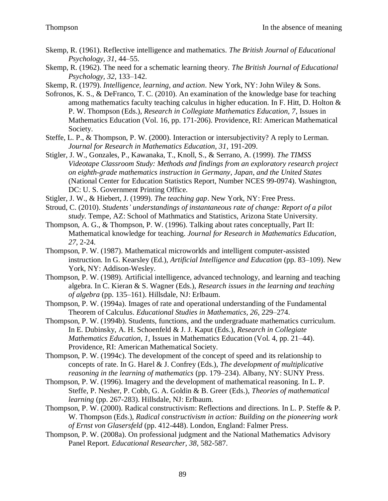- Skemp, R. (1961). Reflective intelligence and mathematics. *The British Journal of Educational Psychology, 31*, 44–55.
- Skemp, R. (1962). The need for a schematic learning theory. *The British Journal of Educational Psychology, 32*, 133–142.
- Skemp, R. (1979). *Intelligence, learning, and action*. New York, NY: John Wiley & Sons.
- Sofronos, K. S., & DeFranco, T. C. (2010). An examination of the knowledge base for teaching among mathematics faculty teaching calculus in higher education. In F. Hitt, D. Holton & P. W. Thompson (Eds.), *Research in Collegiate Mathematics Education, 7*, Issues in Mathematics Education (Vol. 16, pp. 171-206). Providence, RI: American Mathematical Society.
- Steffe, L. P., & Thompson, P. W. (2000). Interaction or intersubjectivity? A reply to Lerman. *Journal for Research in Mathematics Education, 31*, 191-209.
- Stigler, J. W., Gonzales, P., Kawanaka, T., Knoll, S., & Serrano, A. (1999). *The TIMSS Videotape Classroom Study: Methods and findings from an exploratory research project on eighth-grade mathematics instruction in Germany, Japan, and the United States* (National Center for Education Statistics Report, Number NCES 99-0974). Washington, DC: U. S. Government Printing Office.
- Stigler, J. W., & Hiebert, J. (1999). *The teaching gap*. New York, NY: Free Press.
- Stroud, C. (2010). *Students' understandings of instantaneous rate of change: Report of a pilot study*. Tempe, AZ: School of Mathmatics and Statistics, Arizona State University.
- Thompson, A. G., & Thompson, P. W. (1996). Talking about rates conceptually, Part II: Mathematical knowledge for teaching. *Journal for Research in Mathematics Education, 27*, 2-24.
- Thompson, P. W. (1987). Mathematical microworlds and intelligent computer-assisted instruction. In G. Kearsley (Ed.), *Artificial Intelligence and Education* (pp. 83–109). New York, NY: Addison-Wesley.
- Thompson, P. W. (1989). Artificial intelligence, advanced technology, and learning and teaching algebra. In C. Kieran & S. Wagner (Eds.), *Research issues in the learning and teaching of algebra* (pp. 135–161). Hillsdale, NJ: Erlbaum.
- Thompson, P. W. (1994a). Images of rate and operational understanding of the Fundamental Theorem of Calculus. *Educational Studies in Mathematics, 26*, 229–274.
- Thompson, P. W. (1994b). Students, functions, and the undergraduate mathematics curriculum. In E. Dubinsky, A. H. Schoenfeld & J. J. Kaput (Eds.), *Research in Collegiate Mathematics Education, 1*, Issues in Mathematics Education (Vol. 4, pp. 21–44). Providence, RI: American Mathematical Society.
- Thompson, P. W. (1994c). The development of the concept of speed and its relationship to concepts of rate. In G. Harel & J. Confrey (Eds.), *The development of multiplicative reasoning in the learning of mathematics* (pp. 179–234). Albany, NY: SUNY Press.
- Thompson, P. W. (1996). Imagery and the development of mathematical reasoning. In L. P. Steffe, P. Nesher, P. Cobb, G. A. Goldin & B. Greer (Eds.), *Theories of mathematical learning* (pp. 267-283). Hillsdale, NJ: Erlbaum.
- Thompson, P. W. (2000). Radical constructivism: Reflections and directions. In L. P. Steffe & P. W. Thompson (Eds.), *Radical constructivism in action: Building on the pioneering work of Ernst von Glasersfeld* (pp. 412-448). London, England: Falmer Press.
- Thompson, P. W. (2008a). On professional judgment and the National Mathematics Advisory Panel Report. *Educational Researcher, 38*, 582-587.